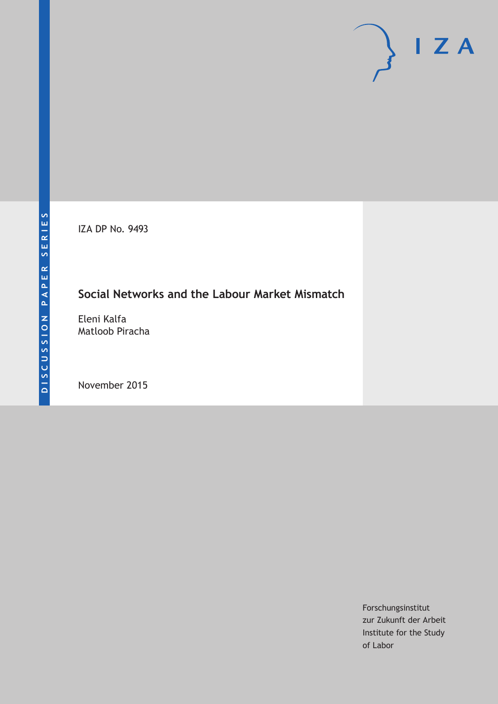IZA DP No. 9493

## **Social Networks and the Labour Market Mismatch**

Eleni Kalfa Matloob Piracha

November 2015

Forschungsinstitut zur Zukunft der Arbeit Institute for the Study of Labor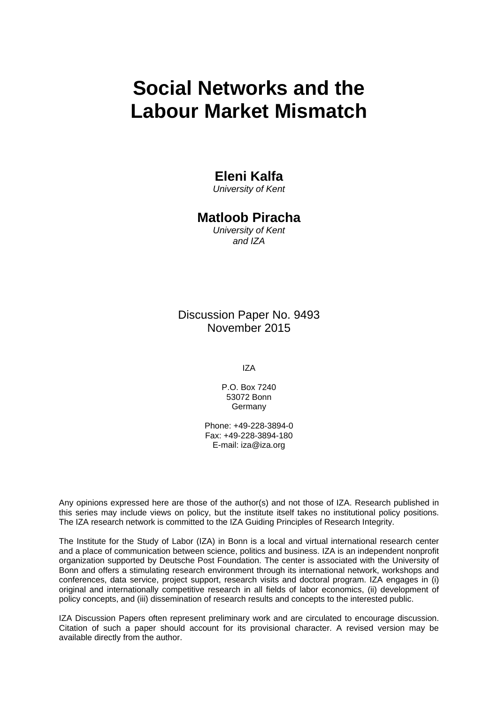# **Social Networks and the Labour Market Mismatch**

### **Eleni Kalfa**

*University of Kent* 

### **Matloob Piracha**

*University of Kent and IZA* 

Discussion Paper No. 9493 November 2015

IZA

P.O. Box 7240 53072 Bonn **Germany** 

Phone: +49-228-3894-0 Fax: +49-228-3894-180 E-mail: iza@iza.org

Any opinions expressed here are those of the author(s) and not those of IZA. Research published in this series may include views on policy, but the institute itself takes no institutional policy positions. The IZA research network is committed to the IZA Guiding Principles of Research Integrity.

The Institute for the Study of Labor (IZA) in Bonn is a local and virtual international research center and a place of communication between science, politics and business. IZA is an independent nonprofit organization supported by Deutsche Post Foundation. The center is associated with the University of Bonn and offers a stimulating research environment through its international network, workshops and conferences, data service, project support, research visits and doctoral program. IZA engages in (i) original and internationally competitive research in all fields of labor economics, (ii) development of policy concepts, and (iii) dissemination of research results and concepts to the interested public.

IZA Discussion Papers often represent preliminary work and are circulated to encourage discussion. Citation of such a paper should account for its provisional character. A revised version may be available directly from the author.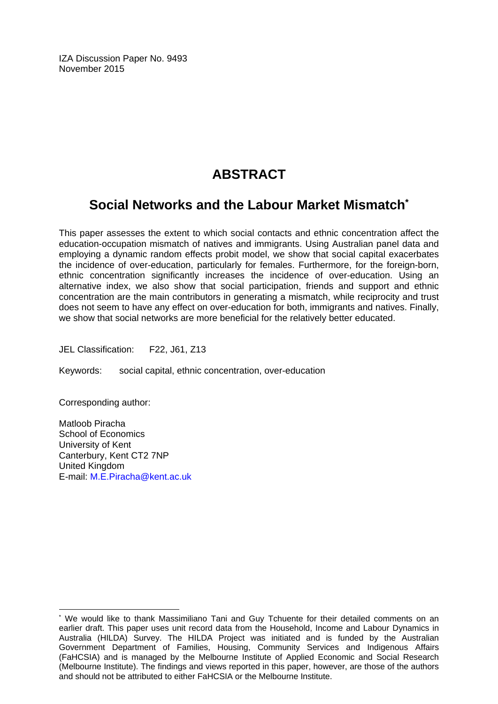IZA Discussion Paper No. 9493 November 2015

## **ABSTRACT**

## **Social Networks and the Labour Market Mismatch\***

This paper assesses the extent to which social contacts and ethnic concentration affect the education-occupation mismatch of natives and immigrants. Using Australian panel data and employing a dynamic random effects probit model, we show that social capital exacerbates the incidence of over-education, particularly for females. Furthermore, for the foreign-born, ethnic concentration significantly increases the incidence of over-education. Using an alternative index, we also show that social participation, friends and support and ethnic concentration are the main contributors in generating a mismatch, while reciprocity and trust does not seem to have any effect on over-education for both, immigrants and natives. Finally, we show that social networks are more beneficial for the relatively better educated.

JEL Classification: F22, J61, Z13

Keywords: social capital, ethnic concentration, over-education

Corresponding author:

 $\overline{a}$ 

Matloob Piracha School of Economics University of Kent Canterbury, Kent CT2 7NP United Kingdom E-mail: M.E.Piracha@kent.ac.uk

<sup>\*</sup> We would like to thank Massimiliano Tani and Guy Tchuente for their detailed comments on an earlier draft. This paper uses unit record data from the Household, Income and Labour Dynamics in Australia (HILDA) Survey. The HILDA Project was initiated and is funded by the Australian Government Department of Families, Housing, Community Services and Indigenous Affairs (FaHCSIA) and is managed by the Melbourne Institute of Applied Economic and Social Research (Melbourne Institute). The findings and views reported in this paper, however, are those of the authors and should not be attributed to either FaHCSIA or the Melbourne Institute.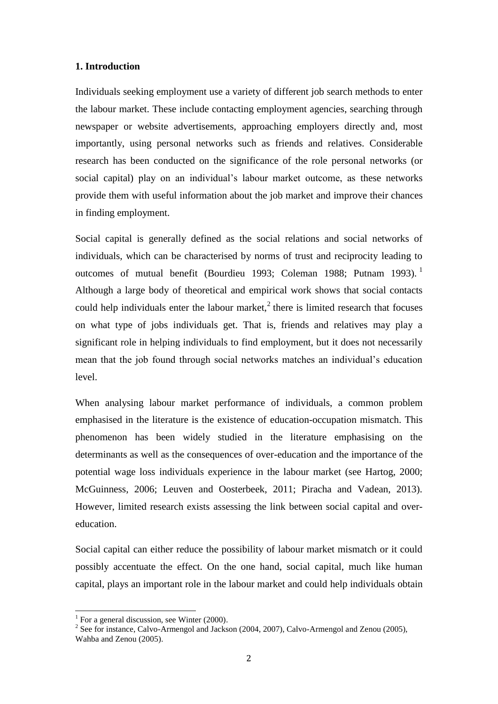### **1. Introduction**

Individuals seeking employment use a variety of different job search methods to enter the labour market. These include contacting employment agencies, searching through newspaper or website advertisements, approaching employers directly and, most importantly, using personal networks such as friends and relatives. Considerable research has been conducted on the significance of the role personal networks (or social capital) play on an individual's labour market outcome, as these networks provide them with useful information about the job market and improve their chances in finding employment.

Social capital is generally defined as the social relations and social networks of individuals, which can be characterised by norms of trust and reciprocity leading to outcomes of mutual benefit (Bourdieu 1993; Coleman 1988; Putnam 1993). Although a large body of theoretical and empirical work shows that social contacts could help individuals enter the labour market, $2$  there is limited research that focuses on what type of jobs individuals get. That is, friends and relatives may play a significant role in helping individuals to find employment, but it does not necessarily mean that the job found through social networks matches an individual's education level.

When analysing labour market performance of individuals, a common problem emphasised in the literature is the existence of education-occupation mismatch. This phenomenon has been widely studied in the literature emphasising on the determinants as well as the consequences of over-education and the importance of the potential wage loss individuals experience in the labour market (see Hartog, 2000; McGuinness, 2006; Leuven and Oosterbeek, 2011; Piracha and Vadean, 2013). However, limited research exists assessing the link between social capital and overeducation.

Social capital can either reduce the possibility of labour market mismatch or it could possibly accentuate the effect. On the one hand, social capital, much like human capital, plays an important role in the labour market and could help individuals obtain

 1 For a general discussion, see Winter (2000).

 $2^2$  See for instance, Calvo-Armengol and Jackson (2004, 2007), Calvo-Armengol and Zenou (2005), Wahba and Zenou (2005).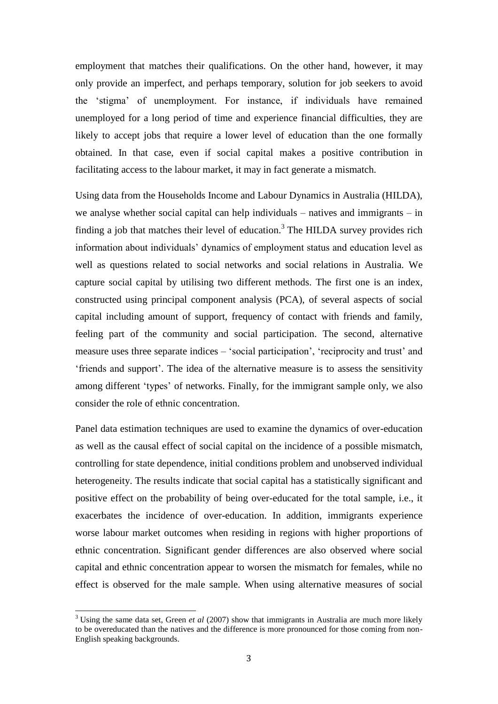employment that matches their qualifications. On the other hand, however, it may only provide an imperfect, and perhaps temporary, solution for job seekers to avoid the 'stigma' of unemployment. For instance, if individuals have remained unemployed for a long period of time and experience financial difficulties, they are likely to accept jobs that require a lower level of education than the one formally obtained. In that case, even if social capital makes a positive contribution in facilitating access to the labour market, it may in fact generate a mismatch.

Using data from the Households Income and Labour Dynamics in Australia (HILDA), we analyse whether social capital can help individuals – natives and immigrants – in finding a job that matches their level of education.<sup>3</sup> The HILDA survey provides rich information about individuals' dynamics of employment status and education level as well as questions related to social networks and social relations in Australia. We capture social capital by utilising two different methods. The first one is an index, constructed using principal component analysis (PCA), of several aspects of social capital including amount of support, frequency of contact with friends and family, feeling part of the community and social participation. The second, alternative measure uses three separate indices – 'social participation', 'reciprocity and trust' and 'friends and support'. The idea of the alternative measure is to assess the sensitivity among different 'types' of networks. Finally, for the immigrant sample only, we also consider the role of ethnic concentration.

Panel data estimation techniques are used to examine the dynamics of over-education as well as the causal effect of social capital on the incidence of a possible mismatch, controlling for state dependence, initial conditions problem and unobserved individual heterogeneity. The results indicate that social capital has a statistically significant and positive effect on the probability of being over-educated for the total sample, i.e., it exacerbates the incidence of over-education. In addition, immigrants experience worse labour market outcomes when residing in regions with higher proportions of ethnic concentration. Significant gender differences are also observed where social capital and ethnic concentration appear to worsen the mismatch for females, while no effect is observed for the male sample. When using alternative measures of social

 $\overline{a}$ 

<sup>3</sup> Using the same data set, Green *et al* (2007) show that immigrants in Australia are much more likely to be overeducated than the natives and the difference is more pronounced for those coming from non-English speaking backgrounds.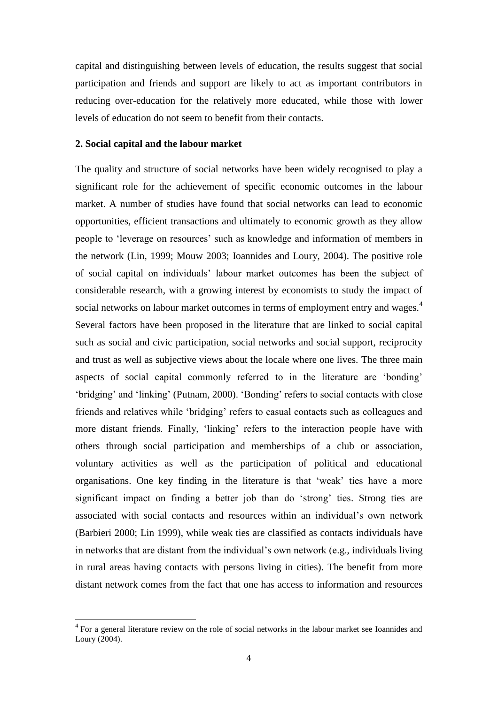capital and distinguishing between levels of education, the results suggest that social participation and friends and support are likely to act as important contributors in reducing over-education for the relatively more educated, while those with lower levels of education do not seem to benefit from their contacts.

### **2. Social capital and the labour market**

The quality and structure of social networks have been widely recognised to play a significant role for the achievement of specific economic outcomes in the labour market. A number of studies have found that social networks can lead to economic opportunities, efficient transactions and ultimately to economic growth as they allow people to 'leverage on resources' such as knowledge and information of members in the network (Lin, 1999; Mouw 2003; Ioannides and Loury, 2004). The positive role of social capital on individuals' labour market outcomes has been the subject of considerable research, with a growing interest by economists to study the impact of social networks on labour market outcomes in terms of employment entry and wages.<sup>4</sup> Several factors have been proposed in the literature that are linked to social capital such as social and civic participation, social networks and social support, reciprocity and trust as well as subjective views about the locale where one lives. The three main aspects of social capital commonly referred to in the literature are 'bonding' 'bridging' and 'linking' (Putnam, 2000). 'Bonding' refers to social contacts with close friends and relatives while 'bridging' refers to casual contacts such as colleagues and more distant friends. Finally, 'linking' refers to the interaction people have with others through social participation and memberships of a club or association, voluntary activities as well as the participation of political and educational organisations. One key finding in the literature is that 'weak' ties have a more significant impact on finding a better job than do 'strong' ties. Strong ties are associated with social contacts and resources within an individual's own network (Barbieri 2000; Lin 1999), while weak ties are classified as contacts individuals have in networks that are distant from the individual's own network (e.g., individuals living in rural areas having contacts with persons living in cities). The benefit from more distant network comes from the fact that one has access to information and resources

l

<sup>&</sup>lt;sup>4</sup> For a general literature review on the role of social networks in the labour market see Ioannides and Loury (2004).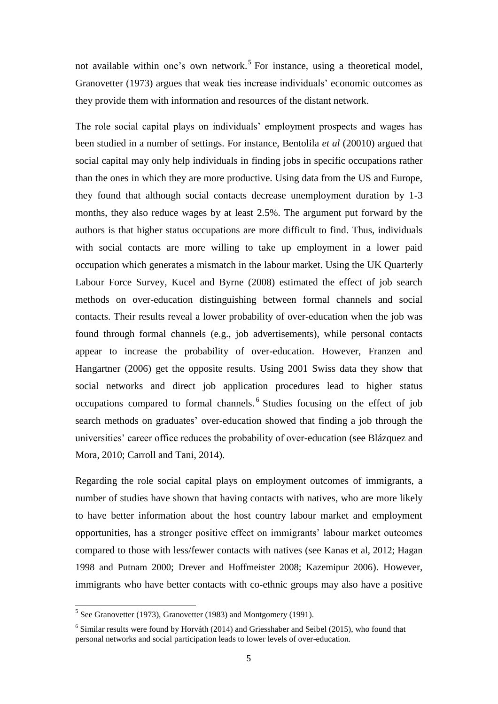not available within one's own network.<sup>5</sup> For instance, using a theoretical model, Granovetter (1973) argues that weak ties increase individuals' economic outcomes as they provide them with information and resources of the distant network.

The role social capital plays on individuals' employment prospects and wages has been studied in a number of settings. For instance, Bentolila *et al* (20010) argued that social capital may only help individuals in finding jobs in specific occupations rather than the ones in which they are more productive. Using data from the US and Europe, they found that although social contacts decrease unemployment duration by 1-3 months, they also reduce wages by at least 2.5%. The argument put forward by the authors is that higher status occupations are more difficult to find. Thus, individuals with social contacts are more willing to take up employment in a lower paid occupation which generates a mismatch in the labour market. Using the UK Quarterly Labour Force Survey, Kucel and Byrne (2008) estimated the effect of job search methods on over-education distinguishing between formal channels and social contacts. Their results reveal a lower probability of over-education when the job was found through formal channels (e.g., job advertisements), while personal contacts appear to increase the probability of over-education. However, Franzen and Hangartner (2006) get the opposite results. Using 2001 Swiss data they show that social networks and direct job application procedures lead to higher status occupations compared to formal channels.<sup>6</sup> Studies focusing on the effect of job search methods on graduates' over-education showed that finding a job through the universities' career office reduces the probability of over-education (see Blázquez and Mora, 2010; Carroll and Tani, 2014).

Regarding the role social capital plays on employment outcomes of immigrants, a number of studies have shown that having contacts with natives, who are more likely to have better information about the host country labour market and employment opportunities, has a stronger positive effect on immigrants' labour market outcomes compared to those with less/fewer contacts with natives (see Kanas et al, 2012; Hagan 1998 and Putnam 2000; Drever and Hoffmeister 2008; Kazemipur 2006). However, immigrants who have better contacts with co-ethnic groups may also have a positive

 5 See Granovetter (1973), Granovetter (1983) and Montgomery (1991).

 $6$  Similar results were found by Horváth (2014) and Griesshaber and Seibel (2015), who found that personal networks and social participation leads to lower levels of over-education.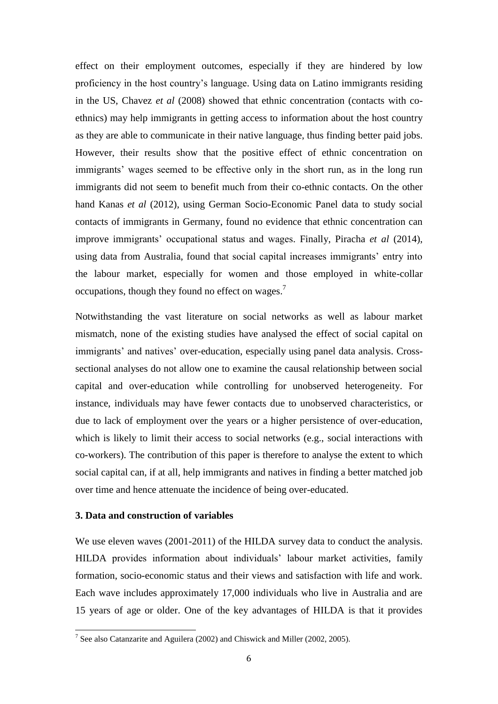effect on their employment outcomes, especially if they are hindered by low proficiency in the host country's language. Using data on Latino immigrants residing in the US, Chavez *et al* (2008) showed that ethnic concentration (contacts with coethnics) may help immigrants in getting access to information about the host country as they are able to communicate in their native language, thus finding better paid jobs. However, their results show that the positive effect of ethnic concentration on immigrants' wages seemed to be effective only in the short run, as in the long run immigrants did not seem to benefit much from their co-ethnic contacts. On the other hand Kanas *et al* (2012), using German Socio-Economic Panel data to study social contacts of immigrants in Germany, found no evidence that ethnic concentration can improve immigrants' occupational status and wages. Finally, Piracha *et al* (2014), using data from Australia, found that social capital increases immigrants' entry into the labour market, especially for women and those employed in white-collar occupations, though they found no effect on wages.<sup>7</sup>

Notwithstanding the vast literature on social networks as well as labour market mismatch, none of the existing studies have analysed the effect of social capital on immigrants' and natives' over-education, especially using panel data analysis. Crosssectional analyses do not allow one to examine the causal relationship between social capital and over-education while controlling for unobserved heterogeneity. For instance, individuals may have fewer contacts due to unobserved characteristics, or due to lack of employment over the years or a higher persistence of over-education, which is likely to limit their access to social networks (e.g., social interactions with co-workers). The contribution of this paper is therefore to analyse the extent to which social capital can, if at all, help immigrants and natives in finding a better matched job over time and hence attenuate the incidence of being over-educated.

#### **3. Data and construction of variables**

We use eleven waves (2001-2011) of the HILDA survey data to conduct the analysis. HILDA provides information about individuals' labour market activities, family formation, socio-economic status and their views and satisfaction with life and work. Each wave includes approximately 17,000 individuals who live in Australia and are 15 years of age or older. One of the key advantages of HILDA is that it provides

<sup>&</sup>lt;sup>7</sup> See also Catanzarite and Aguilera (2002) and Chiswick and Miller (2002, 2005).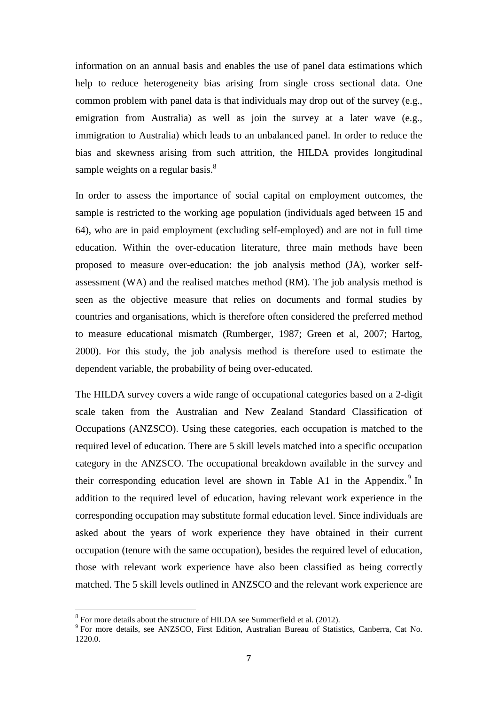information on an annual basis and enables the use of panel data estimations which help to reduce heterogeneity bias arising from single cross sectional data. One common problem with panel data is that individuals may drop out of the survey (e.g., emigration from Australia) as well as join the survey at a later wave (e.g., immigration to Australia) which leads to an unbalanced panel. In order to reduce the bias and skewness arising from such attrition, the HILDA provides longitudinal sample weights on a regular basis. $\frac{8}{3}$ 

In order to assess the importance of social capital on employment outcomes, the sample is restricted to the working age population (individuals aged between 15 and 64), who are in paid employment (excluding self-employed) and are not in full time education. Within the over-education literature, three main methods have been proposed to measure over-education: the job analysis method (JA), worker selfassessment (WA) and the realised matches method (RM). The job analysis method is seen as the objective measure that relies on documents and formal studies by countries and organisations, which is therefore often considered the preferred method to measure educational mismatch (Rumberger, 1987; Green et al, 2007; Hartog, 2000). For this study, the job analysis method is therefore used to estimate the dependent variable, the probability of being over-educated.

The HILDA survey covers a wide range of occupational categories based on a 2-digit scale taken from the Australian and New Zealand Standard Classification of Occupations (ANZSCO). Using these categories, each occupation is matched to the required level of education. There are 5 skill levels matched into a specific occupation category in the ANZSCO. The occupational breakdown available in the survey and their corresponding education level are shown in Table A1 in the Appendix.<sup>9</sup> In addition to the required level of education, having relevant work experience in the corresponding occupation may substitute formal education level. Since individuals are asked about the years of work experience they have obtained in their current occupation (tenure with the same occupation), besides the required level of education, those with relevant work experience have also been classified as being correctly matched. The 5 skill levels outlined in ANZSCO and the relevant work experience are

l

 $8$  For more details about the structure of HILDA see Summerfield et al. (2012).

<sup>&</sup>lt;sup>9</sup> For more details, see ANZSCO, First Edition, Australian Bureau of Statistics, Canberra, Cat No. 1220.0.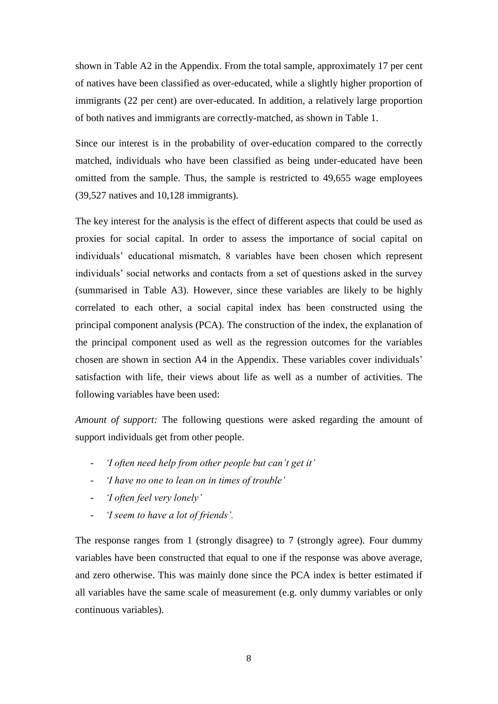shown in Table A2 in the Appendix. From the total sample, approximately 17 per cent of natives have been classified as over-educated, while a slightly higher proportion of immigrants (22 per cent) are over-educated. In addition, a relatively large proportion of both natives and immigrants are correctly-matched, as shown in Table 1.

Since our interest is in the probability of over-education compared to the correctly matched, individuals who have been classified as being under-educated have been omitted from the sample. Thus, the sample is restricted to 49,655 wage employees (39,527 natives and 10,128 immigrants).

The key interest for the analysis is the effect of different aspects that could be used as proxies for social capital. In order to assess the importance of social capital on individuals' educational mismatch, 8 variables have been chosen which represent individuals' social networks and contacts from a set of questions asked in the survey (summarised in Table A3). However, since these variables are likely to be highly correlated to each other, a social capital index has been constructed using the principal component analysis (PCA). The construction of the index, the explanation of the principal component used as well as the regression outcomes for the variables chosen are shown in section A4 in the Appendix. These variables cover individuals' satisfaction with life, their views about life as well as a number of activities. The following variables have been used:

*Amount of support:* The following questions were asked regarding the amount of support individuals get from other people.

- *'I often need help from other people but can't get it'*
- *'I have no one to lean on in times of trouble'*
- *'I often feel very lonely'*
- *'I seem to have a lot of friends'.*

The response ranges from 1 (strongly disagree) to 7 (strongly agree). Four dummy variables have been constructed that equal to one if the response was above average, and zero otherwise. This was mainly done since the PCA index is better estimated if all variables have the same scale of measurement (e.g. only dummy variables or only continuous variables).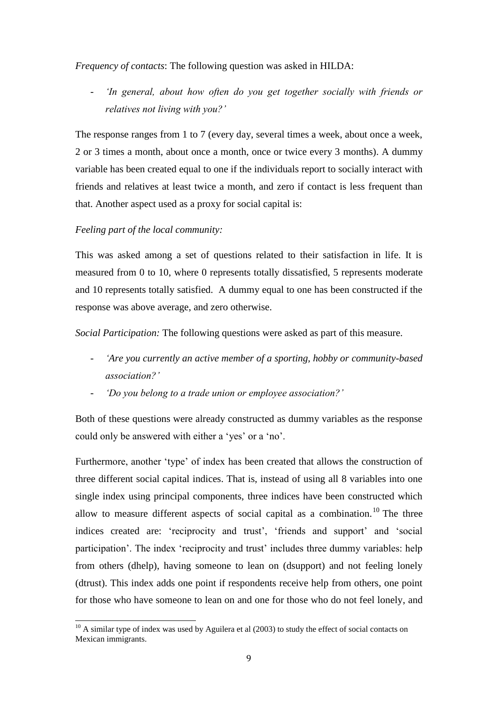### *Frequency of contacts*: The following question was asked in HILDA:

- *'In general, about how often do you get together socially with friends or relatives not living with you?'* 

The response ranges from 1 to 7 (every day, several times a week, about once a week, 2 or 3 times a month, about once a month, once or twice every 3 months). A dummy variable has been created equal to one if the individuals report to socially interact with friends and relatives at least twice a month, and zero if contact is less frequent than that. Another aspect used as a proxy for social capital is:

### *Feeling part of the local community:*

This was asked among a set of questions related to their satisfaction in life. It is measured from 0 to 10, where 0 represents totally dissatisfied, 5 represents moderate and 10 represents totally satisfied. A dummy equal to one has been constructed if the response was above average, and zero otherwise.

*Social Participation:* The following questions were asked as part of this measure.

- *'Are you currently an active member of a sporting, hobby or community-based association?'*
- *'Do you belong to a trade union or employee association?'*

Both of these questions were already constructed as dummy variables as the response could only be answered with either a 'yes' or a 'no'.

Furthermore, another 'type' of index has been created that allows the construction of three different social capital indices. That is, instead of using all 8 variables into one single index using principal components, three indices have been constructed which allow to measure different aspects of social capital as a combination.<sup>10</sup> The three indices created are: 'reciprocity and trust', 'friends and support' and 'social participation'. The index 'reciprocity and trust' includes three dummy variables: help from others (dhelp), having someone to lean on (dsupport) and not feeling lonely (dtrust). This index adds one point if respondents receive help from others, one point for those who have someone to lean on and one for those who do not feel lonely, and

l  $10$  A similar type of index was used by Aguilera et al (2003) to study the effect of social contacts on Mexican immigrants.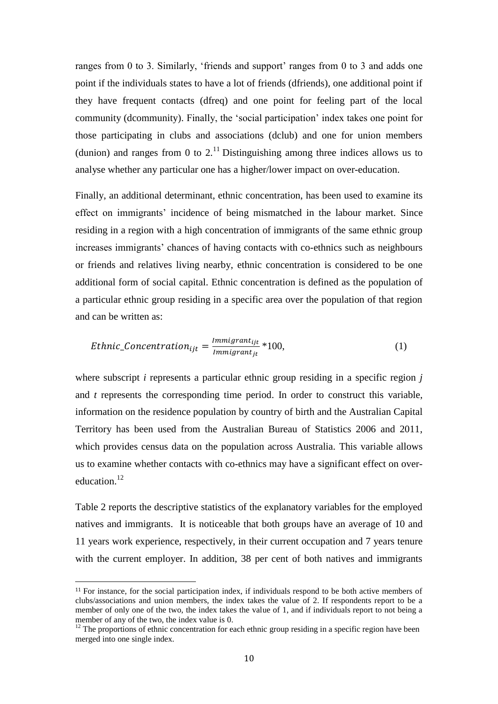ranges from 0 to 3. Similarly, 'friends and support' ranges from 0 to 3 and adds one point if the individuals states to have a lot of friends (dfriends), one additional point if they have frequent contacts (dfreq) and one point for feeling part of the local community (dcommunity). Finally, the 'social participation' index takes one point for those participating in clubs and associations (dclub) and one for union members (dunion) and ranges from 0 to  $2<sup>11</sup>$  Distinguishing among three indices allows us to analyse whether any particular one has a higher/lower impact on over-education.

Finally, an additional determinant, ethnic concentration, has been used to examine its effect on immigrants' incidence of being mismatched in the labour market. Since residing in a region with a high concentration of immigrants of the same ethnic group increases immigrants' chances of having contacts with co-ethnics such as neighbours or friends and relatives living nearby, ethnic concentration is considered to be one additional form of social capital. Ethnic concentration is defined as the population of a particular ethnic group residing in a specific area over the population of that region and can be written as:

*Ethnic\_Coneentration<sub>ijt</sub>* = 
$$
\frac{Immigrant_{ijt}}{Immigrant_{jt}} * 100,
$$
 (1)

where subscript *i* represents a particular ethnic group residing in a specific region *j* and *t* represents the corresponding time period. In order to construct this variable, information on the residence population by country of birth and the Australian Capital Territory has been used from the Australian Bureau of Statistics 2006 and 2011, which provides census data on the population across Australia. This variable allows us to examine whether contacts with co-ethnics may have a significant effect on overeducation.<sup>12</sup>

Table 2 reports the descriptive statistics of the explanatory variables for the employed natives and immigrants. It is noticeable that both groups have an average of 10 and 11 years work experience, respectively, in their current occupation and 7 years tenure with the current employer. In addition, 38 per cent of both natives and immigrants

 $\overline{a}$ 

<sup>11</sup> For instance, for the social participation index, if individuals respond to be both active members of clubs/associations and union members, the index takes the value of 2. If respondents report to be a member of only one of the two, the index takes the value of 1, and if individuals report to not being a member of any of the two, the index value is 0.

 $12$  The proportions of ethnic concentration for each ethnic group residing in a specific region have been merged into one single index.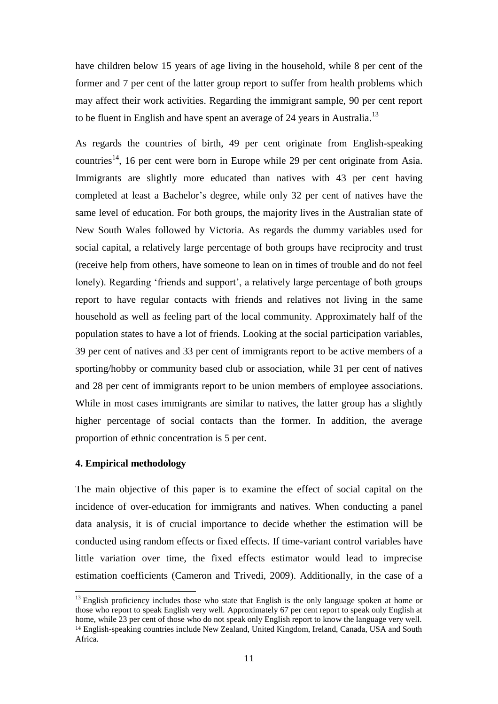have children below 15 years of age living in the household, while 8 per cent of the former and 7 per cent of the latter group report to suffer from health problems which may affect their work activities. Regarding the immigrant sample, 90 per cent report to be fluent in English and have spent an average of 24 years in Australia.<sup>13</sup>

As regards the countries of birth, 49 per cent originate from English-speaking countries<sup>14</sup>, 16 per cent were born in Europe while 29 per cent originate from Asia. Immigrants are slightly more educated than natives with 43 per cent having completed at least a Bachelor's degree, while only 32 per cent of natives have the same level of education. For both groups, the majority lives in the Australian state of New South Wales followed by Victoria. As regards the dummy variables used for social capital, a relatively large percentage of both groups have reciprocity and trust (receive help from others, have someone to lean on in times of trouble and do not feel lonely). Regarding 'friends and support', a relatively large percentage of both groups report to have regular contacts with friends and relatives not living in the same household as well as feeling part of the local community. Approximately half of the population states to have a lot of friends. Looking at the social participation variables, 39 per cent of natives and 33 per cent of immigrants report to be active members of a sporting/hobby or community based club or association, while 31 per cent of natives and 28 per cent of immigrants report to be union members of employee associations. While in most cases immigrants are similar to natives, the latter group has a slightly higher percentage of social contacts than the former. In addition, the average proportion of ethnic concentration is 5 per cent.

### **4. Empirical methodology**

 $\overline{a}$ 

The main objective of this paper is to examine the effect of social capital on the incidence of over-education for immigrants and natives. When conducting a panel data analysis, it is of crucial importance to decide whether the estimation will be conducted using random effects or fixed effects. If time-variant control variables have little variation over time, the fixed effects estimator would lead to imprecise estimation coefficients (Cameron and Trivedi, 2009). Additionally, in the case of a

<sup>&</sup>lt;sup>13</sup> English proficiency includes those who state that English is the only language spoken at home or those who report to speak English very well. Approximately 67 per cent report to speak only English at home, while 23 per cent of those who do not speak only English report to know the language very well. <sup>14</sup> English-speaking countries include New Zealand, United Kingdom, Ireland, Canada, USA and South Africa.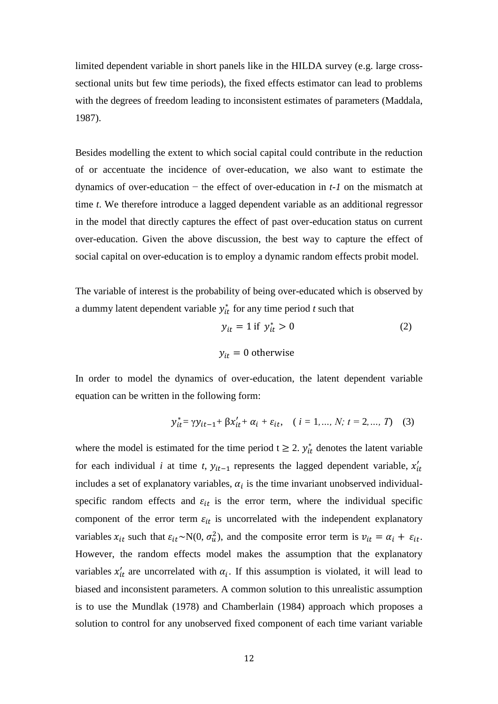limited dependent variable in short panels like in the HILDA survey (e.g. large crosssectional units but few time periods), the fixed effects estimator can lead to problems with the degrees of freedom leading to inconsistent estimates of parameters (Maddala, 1987).

Besides modelling the extent to which social capital could contribute in the reduction of or accentuate the incidence of over-education, we also want to estimate the dynamics of over-education − the effect of over-education in *t-1* on the mismatch at time *t*. We therefore introduce a lagged dependent variable as an additional regressor in the model that directly captures the effect of past over-education status on current over-education. Given the above discussion, the best way to capture the effect of social capital on over-education is to employ a dynamic random effects probit model.

The variable of interest is the probability of being over-educated which is observed by a dummy latent dependent variable  $y_{it}^*$  for any time period  $t$  such that

$$
y_{it} = 1 \text{ if } y_{it}^* > 0
$$
  

$$
y_{it} = 0 \text{ otherwise}
$$
 (2)

In order to model the dynamics of over-education, the latent dependent variable equation can be written in the following form:

$$
y_{it}^* = \gamma y_{it-1} + \beta x_{it}^{\prime} + \alpha_i + \varepsilon_{it}, \quad (i = 1, ..., N; t = 2, ..., T)
$$
 (3)

where the model is estimated for the time period  $t \ge 2$ .  $y_{it}^*$  denotes the latent variable for each individual *i* at time *t*,  $y_{it-1}$  represents the lagged dependent variable,  $x'_{it}$ includes a set of explanatory variables,  $\alpha_i$  is the time invariant unobserved individualspecific random effects and  $\varepsilon_{it}$  is the error term, where the individual specific component of the error term  $\varepsilon_{it}$  is uncorrelated with the independent explanatory variables  $x_{it}$  such that  $\varepsilon_{it} \sim N(0, \sigma_u^2)$ , and the composite error term is  $v_{it} = \alpha_i + \varepsilon_{it}$ . However, the random effects model makes the assumption that the explanatory variables  $x'_{it}$  are uncorrelated with  $\alpha_i$ . If this assumption is violated, it will lead to biased and inconsistent parameters. A common solution to this unrealistic assumption is to use the Mundlak (1978) and Chamberlain (1984) approach which proposes a solution to control for any unobserved fixed component of each time variant variable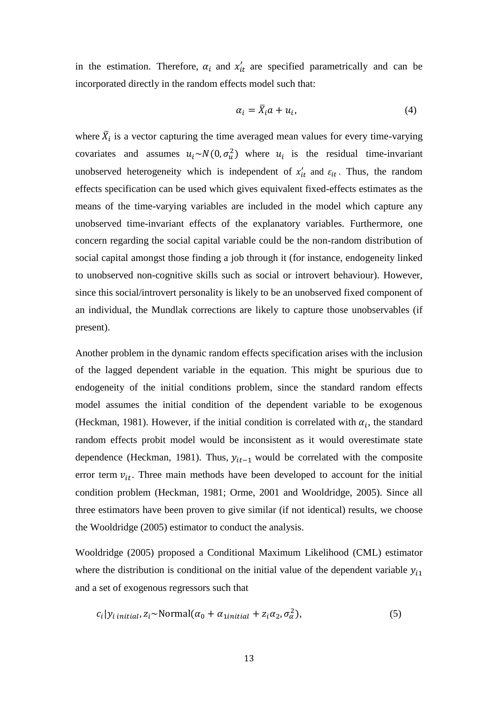in the estimation. Therefore,  $\alpha_i$  and  $x'_{it}$  are specified parametrically and can be incorporated directly in the random effects model such that:

$$
\alpha_i = \bar{X}_i a + u_i,\tag{4}
$$

where  $\bar{X}_i$  is a vector capturing the time averaged mean values for every time-varying covariates and assumes  $u_i \sim N(0, \sigma_u^2)$  where  $u_i$  is the residual time-invariant unobserved heterogeneity which is independent of  $x'_{it}$  and  $\varepsilon_{it}$ . Thus, the random effects specification can be used which gives equivalent fixed-effects estimates as the means of the time-varying variables are included in the model which capture any unobserved time-invariant effects of the explanatory variables. Furthermore, one concern regarding the social capital variable could be the non-random distribution of social capital amongst those finding a job through it (for instance, endogeneity linked to unobserved non-cognitive skills such as social or introvert behaviour). However, since this social/introvert personality is likely to be an unobserved fixed component of an individual, the Mundlak corrections are likely to capture those unobservables (if present).

Another problem in the dynamic random effects specification arises with the inclusion of the lagged dependent variable in the equation. This might be spurious due to endogeneity of the initial conditions problem, since the standard random effects model assumes the initial condition of the dependent variable to be exogenous (Heckman, 1981). However, if the initial condition is correlated with  $\alpha_i$ , the standard random effects probit model would be inconsistent as it would overestimate state dependence (Heckman, 1981). Thus,  $y_{it-1}$  would be correlated with the composite error term  $v_{it}$ . Three main methods have been developed to account for the initial condition problem (Heckman, 1981; Orme, 2001 and Wooldridge, 2005). Since all three estimators have been proven to give similar (if not identical) results, we choose the Wooldridge (2005) estimator to conduct the analysis.

Wooldridge (2005) proposed a Conditional Maximum Likelihood (CML) estimator where the distribution is conditional on the initial value of the dependent variable  $y_{i1}$ and a set of exogenous regressors such that

$$
c_i|y_{i\text{ initial}}, z_i \sim \text{Normal}(\alpha_0 + \alpha_{\text{initial}} + z_i \alpha_2, \sigma_\alpha^2), \tag{5}
$$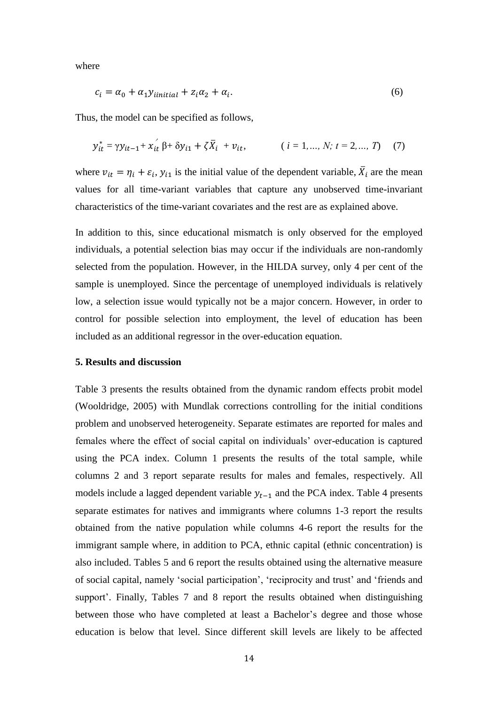where

$$
c_i = \alpha_0 + \alpha_1 y_{initial} + z_i \alpha_2 + \alpha_i. \tag{6}
$$

Thus, the model can be specified as follows,

$$
y_{it}^* = \gamma y_{it-1} + x_{it} \beta + \delta y_{i1} + \zeta \overline{X}_i + v_{it}, \qquad (i = 1, ..., N; t = 2, ..., T)
$$
 (7)

where  $v_{it} = \eta_i + \varepsilon_i$ ,  $y_{i1}$  is the initial value of the dependent variable,  $\overline{X}_i$  are the mean values for all time-variant variables that capture any unobserved time-invariant characteristics of the time-variant covariates and the rest are as explained above.

In addition to this, since educational mismatch is only observed for the employed individuals, a potential selection bias may occur if the individuals are non-randomly selected from the population. However, in the HILDA survey, only 4 per cent of the sample is unemployed. Since the percentage of unemployed individuals is relatively low, a selection issue would typically not be a major concern. However, in order to control for possible selection into employment, the level of education has been included as an additional regressor in the over-education equation.

### **5. Results and discussion**

Table 3 presents the results obtained from the dynamic random effects probit model (Wooldridge, 2005) with Mundlak corrections controlling for the initial conditions problem and unobserved heterogeneity. Separate estimates are reported for males and females where the effect of social capital on individuals' over-education is captured using the PCA index. Column 1 presents the results of the total sample, while columns 2 and 3 report separate results for males and females, respectively. All models include a lagged dependent variable  $y_{t-1}$  and the PCA index. Table 4 presents separate estimates for natives and immigrants where columns 1-3 report the results obtained from the native population while columns 4-6 report the results for the immigrant sample where, in addition to PCA, ethnic capital (ethnic concentration) is also included. Tables 5 and 6 report the results obtained using the alternative measure of social capital, namely 'social participation', 'reciprocity and trust' and 'friends and support'. Finally, Tables 7 and 8 report the results obtained when distinguishing between those who have completed at least a Bachelor's degree and those whose education is below that level. Since different skill levels are likely to be affected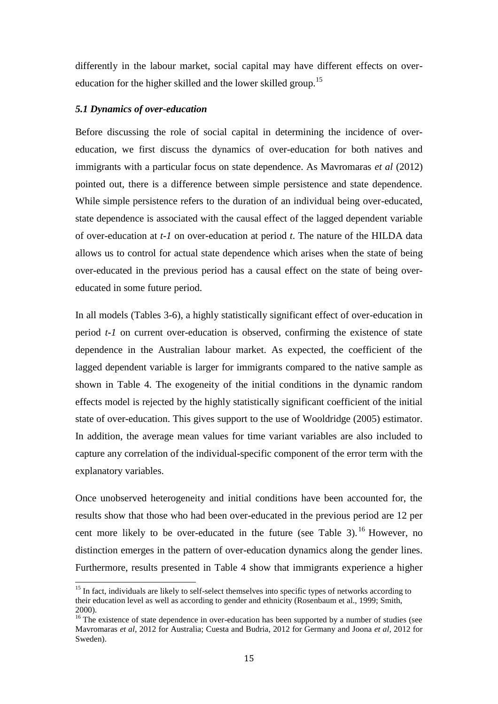differently in the labour market, social capital may have different effects on overeducation for the higher skilled and the lower skilled group.<sup>15</sup>

### *5.1 Dynamics of over-education*

 $\overline{a}$ 

Before discussing the role of social capital in determining the incidence of overeducation, we first discuss the dynamics of over-education for both natives and immigrants with a particular focus on state dependence. As Mavromaras *et al* (2012) pointed out, there is a difference between simple persistence and state dependence. While simple persistence refers to the duration of an individual being over-educated, state dependence is associated with the causal effect of the lagged dependent variable of over-education at *t-1* on over-education at period *t*. The nature of the HILDA data allows us to control for actual state dependence which arises when the state of being over-educated in the previous period has a causal effect on the state of being overeducated in some future period.

In all models (Tables 3-6), a highly statistically significant effect of over-education in period *t-1* on current over-education is observed, confirming the existence of state dependence in the Australian labour market. As expected, the coefficient of the lagged dependent variable is larger for immigrants compared to the native sample as shown in Table 4. The exogeneity of the initial conditions in the dynamic random effects model is rejected by the highly statistically significant coefficient of the initial state of over-education. This gives support to the use of Wooldridge (2005) estimator. In addition, the average mean values for time variant variables are also included to capture any correlation of the individual-specific component of the error term with the explanatory variables.

Once unobserved heterogeneity and initial conditions have been accounted for, the results show that those who had been over-educated in the previous period are 12 per cent more likely to be over-educated in the future (see Table 3).<sup>16</sup> However, no distinction emerges in the pattern of over-education dynamics along the gender lines. Furthermore, results presented in Table 4 show that immigrants experience a higher

<sup>&</sup>lt;sup>15</sup> In fact, individuals are likely to self-select themselves into specific types of networks according to their education level as well as according to gender and ethnicity (Rosenbaum et al., 1999; Smith, 2000).

<sup>&</sup>lt;sup>16</sup> The existence of state dependence in over-education has been supported by a number of studies (see Mavromaras *et al,* 2012 for Australia; Cuesta and Budria, 2012 for Germany and Joona *et al*, 2012 for Sweden).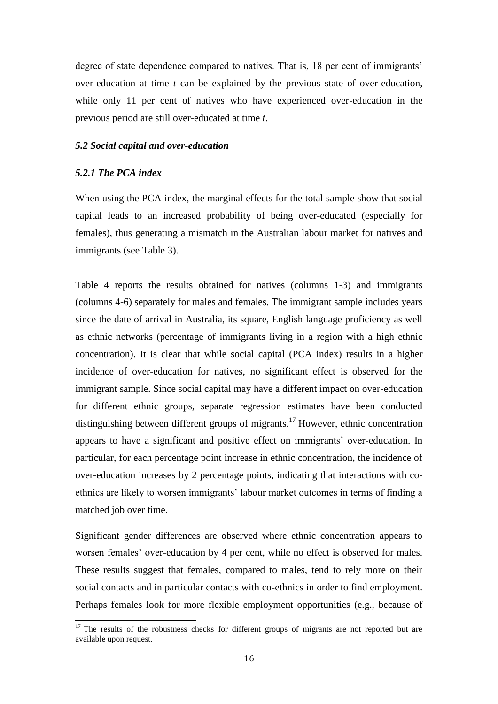degree of state dependence compared to natives. That is, 18 per cent of immigrants' over-education at time *t* can be explained by the previous state of over-education, while only 11 per cent of natives who have experienced over-education in the previous period are still over-educated at time *t*.

### *5.2 Social capital and over-education*

### *5.2.1 The PCA index*

l

When using the PCA index, the marginal effects for the total sample show that social capital leads to an increased probability of being over-educated (especially for females), thus generating a mismatch in the Australian labour market for natives and immigrants (see Table 3).

Table 4 reports the results obtained for natives (columns 1-3) and immigrants (columns 4-6) separately for males and females. The immigrant sample includes years since the date of arrival in Australia, its square, English language proficiency as well as ethnic networks (percentage of immigrants living in a region with a high ethnic concentration). It is clear that while social capital (PCA index) results in a higher incidence of over-education for natives, no significant effect is observed for the immigrant sample. Since social capital may have a different impact on over-education for different ethnic groups, separate regression estimates have been conducted distinguishing between different groups of migrants.<sup>17</sup> However, ethnic concentration appears to have a significant and positive effect on immigrants' over-education. In particular, for each percentage point increase in ethnic concentration, the incidence of over-education increases by 2 percentage points, indicating that interactions with coethnics are likely to worsen immigrants' labour market outcomes in terms of finding a matched job over time.

Significant gender differences are observed where ethnic concentration appears to worsen females' over-education by 4 per cent, while no effect is observed for males. These results suggest that females, compared to males, tend to rely more on their social contacts and in particular contacts with co-ethnics in order to find employment. Perhaps females look for more flexible employment opportunities (e.g., because of

 $17$  The results of the robustness checks for different groups of migrants are not reported but are available upon request.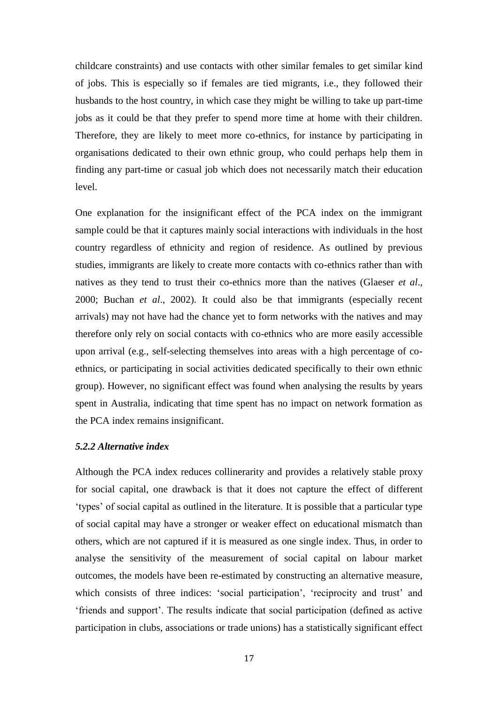childcare constraints) and use contacts with other similar females to get similar kind of jobs. This is especially so if females are tied migrants, i.e., they followed their husbands to the host country, in which case they might be willing to take up part-time jobs as it could be that they prefer to spend more time at home with their children. Therefore, they are likely to meet more co-ethnics, for instance by participating in organisations dedicated to their own ethnic group, who could perhaps help them in finding any part-time or casual job which does not necessarily match their education level.

One explanation for the insignificant effect of the PCA index on the immigrant sample could be that it captures mainly social interactions with individuals in the host country regardless of ethnicity and region of residence. As outlined by previous studies, immigrants are likely to create more contacts with co-ethnics rather than with natives as they tend to trust their co-ethnics more than the natives (Glaeser *et al*., 2000; Buchan *et al*., 2002). It could also be that immigrants (especially recent arrivals) may not have had the chance yet to form networks with the natives and may therefore only rely on social contacts with co-ethnics who are more easily accessible upon arrival (e.g., self-selecting themselves into areas with a high percentage of coethnics, or participating in social activities dedicated specifically to their own ethnic group). However, no significant effect was found when analysing the results by years spent in Australia, indicating that time spent has no impact on network formation as the PCA index remains insignificant.

### *5.2.2 Alternative index*

Although the PCA index reduces collinerarity and provides a relatively stable proxy for social capital, one drawback is that it does not capture the effect of different 'types' of social capital as outlined in the literature. It is possible that a particular type of social capital may have a stronger or weaker effect on educational mismatch than others, which are not captured if it is measured as one single index. Thus, in order to analyse the sensitivity of the measurement of social capital on labour market outcomes, the models have been re-estimated by constructing an alternative measure, which consists of three indices: 'social participation', 'reciprocity and trust' and 'friends and support'. The results indicate that social participation (defined as active participation in clubs, associations or trade unions) has a statistically significant effect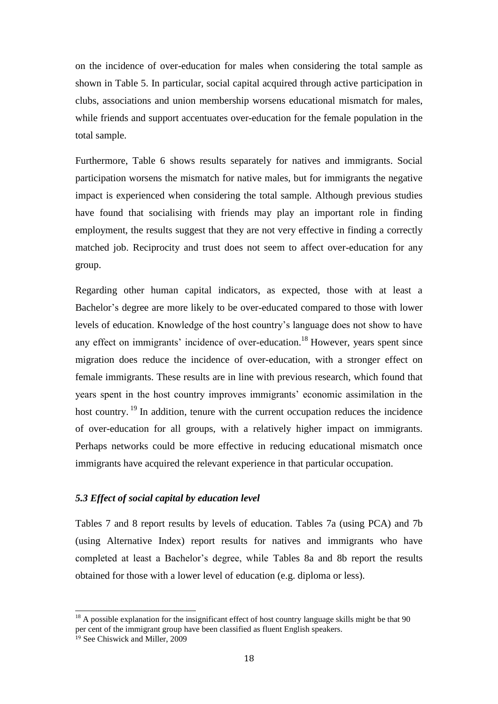on the incidence of over-education for males when considering the total sample as shown in Table 5. In particular, social capital acquired through active participation in clubs, associations and union membership worsens educational mismatch for males, while friends and support accentuates over-education for the female population in the total sample.

Furthermore, Table 6 shows results separately for natives and immigrants. Social participation worsens the mismatch for native males, but for immigrants the negative impact is experienced when considering the total sample. Although previous studies have found that socialising with friends may play an important role in finding employment, the results suggest that they are not very effective in finding a correctly matched job. Reciprocity and trust does not seem to affect over-education for any group.

Regarding other human capital indicators, as expected, those with at least a Bachelor's degree are more likely to be over-educated compared to those with lower levels of education. Knowledge of the host country's language does not show to have any effect on immigrants' incidence of over-education.<sup>18</sup> However, years spent since migration does reduce the incidence of over-education, with a stronger effect on female immigrants. These results are in line with previous research, which found that years spent in the host country improves immigrants' economic assimilation in the host country.  $19$  In addition, tenure with the current occupation reduces the incidence of over-education for all groups, with a relatively higher impact on immigrants. Perhaps networks could be more effective in reducing educational mismatch once immigrants have acquired the relevant experience in that particular occupation.

### *5.3 Effect of social capital by education level*

Tables 7 and 8 report results by levels of education. Tables 7a (using PCA) and 7b (using Alternative Index) report results for natives and immigrants who have completed at least a Bachelor's degree, while Tables 8a and 8b report the results obtained for those with a lower level of education (e.g. diploma or less).

 $\overline{a}$ 

<sup>&</sup>lt;sup>18</sup> A possible explanation for the insignificant effect of host country language skills might be that 90 per cent of the immigrant group have been classified as fluent English speakers.

<sup>19</sup> See Chiswick and Miller, 2009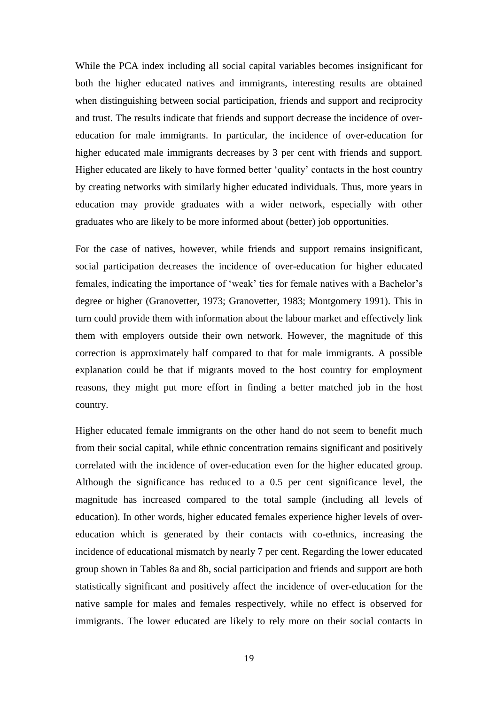While the PCA index including all social capital variables becomes insignificant for both the higher educated natives and immigrants, interesting results are obtained when distinguishing between social participation, friends and support and reciprocity and trust. The results indicate that friends and support decrease the incidence of overeducation for male immigrants. In particular, the incidence of over-education for higher educated male immigrants decreases by 3 per cent with friends and support. Higher educated are likely to have formed better 'quality' contacts in the host country by creating networks with similarly higher educated individuals. Thus, more years in education may provide graduates with a wider network, especially with other graduates who are likely to be more informed about (better) job opportunities.

For the case of natives, however, while friends and support remains insignificant, social participation decreases the incidence of over-education for higher educated females, indicating the importance of 'weak' ties for female natives with a Bachelor's degree or higher (Granovetter, 1973; Granovetter, 1983; Montgomery 1991). This in turn could provide them with information about the labour market and effectively link them with employers outside their own network. However, the magnitude of this correction is approximately half compared to that for male immigrants. A possible explanation could be that if migrants moved to the host country for employment reasons, they might put more effort in finding a better matched job in the host country.

Higher educated female immigrants on the other hand do not seem to benefit much from their social capital, while ethnic concentration remains significant and positively correlated with the incidence of over-education even for the higher educated group. Although the significance has reduced to a 0.5 per cent significance level, the magnitude has increased compared to the total sample (including all levels of education). In other words, higher educated females experience higher levels of overeducation which is generated by their contacts with co-ethnics, increasing the incidence of educational mismatch by nearly 7 per cent. Regarding the lower educated group shown in Tables 8a and 8b, social participation and friends and support are both statistically significant and positively affect the incidence of over-education for the native sample for males and females respectively, while no effect is observed for immigrants. The lower educated are likely to rely more on their social contacts in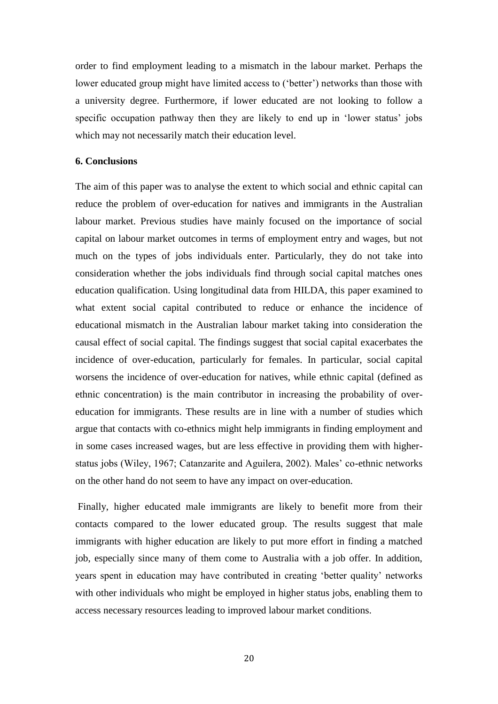order to find employment leading to a mismatch in the labour market. Perhaps the lower educated group might have limited access to ('better') networks than those with a university degree. Furthermore, if lower educated are not looking to follow a specific occupation pathway then they are likely to end up in 'lower status' jobs which may not necessarily match their education level.

### **6. Conclusions**

The aim of this paper was to analyse the extent to which social and ethnic capital can reduce the problem of over-education for natives and immigrants in the Australian labour market. Previous studies have mainly focused on the importance of social capital on labour market outcomes in terms of employment entry and wages, but not much on the types of jobs individuals enter. Particularly, they do not take into consideration whether the jobs individuals find through social capital matches ones education qualification. Using longitudinal data from HILDA, this paper examined to what extent social capital contributed to reduce or enhance the incidence of educational mismatch in the Australian labour market taking into consideration the causal effect of social capital. The findings suggest that social capital exacerbates the incidence of over-education, particularly for females. In particular, social capital worsens the incidence of over-education for natives, while ethnic capital (defined as ethnic concentration) is the main contributor in increasing the probability of overeducation for immigrants. These results are in line with a number of studies which argue that contacts with co-ethnics might help immigrants in finding employment and in some cases increased wages, but are less effective in providing them with higherstatus jobs (Wiley, 1967; Catanzarite and Aguilera, 2002). Males' co-ethnic networks on the other hand do not seem to have any impact on over-education.

Finally, higher educated male immigrants are likely to benefit more from their contacts compared to the lower educated group. The results suggest that male immigrants with higher education are likely to put more effort in finding a matched job, especially since many of them come to Australia with a job offer. In addition, years spent in education may have contributed in creating 'better quality' networks with other individuals who might be employed in higher status jobs, enabling them to access necessary resources leading to improved labour market conditions.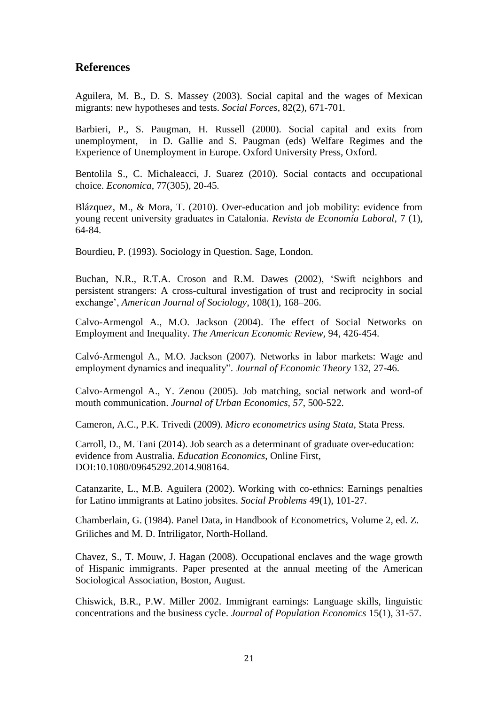### **References**

Aguilera, M. B., D. S. Massey (2003). Social capital and the wages of Mexican migrants: new hypotheses and tests. *Social Forces*, 82(2), 671-701.

Barbieri, P., S. Paugman, H. Russell (2000). Social capital and exits from unemployment, in D. Gallie and S. Paugman (eds) Welfare Regimes and the Experience of Unemployment in Europe. Oxford University Press, Oxford.

Bentolila S., C. Michaleacci, J. Suarez (2010). Social contacts and occupational choice. *Economica*, 77(305), 20-45*.*

Blázquez, M., & Mora, T. (2010). Over-education and job mobility: evidence from young recent university graduates in Catalonia. *Revista de Economía Laboral*, 7 (1), 64-84.

Bourdieu, P. (1993). Sociology in Question. Sage, London.

Buchan, N.R., R.T.A. Croson and R.M. Dawes (2002), 'Swift neighbors and persistent strangers: A cross-cultural investigation of trust and reciprocity in social exchange', *American Journal of Sociology*, 108(1), 168–206.

Calvo-Armengol A., M.O. Jackson (2004). The effect of Social Networks on Employment and Inequality. *The American Economic Review,* 94, 426-454.

Calvó-Armengol A., M.O. Jackson (2007). Networks in labor markets: Wage and employment dynamics and inequality". *Journal of Economic Theory* 132, 27-46.

Calvo-Armengol A., Y. Zenou (2005). Job matching, social network and word-of mouth communication. *Journal of Urban Economics, 57*, 500-522.

Cameron, A.C., P.K. Trivedi (2009). *Micro econometrics using Stata*, Stata Press.

Carroll, D., M. Tani (2014). Job search as a determinant of graduate over-education: evidence from Australia. *Education Economics*, Online First, DOI:10.1080/09645292.2014.908164.

Catanzarite, L., M.B. Aguilera (2002). Working with co-ethnics: Earnings penalties for Latino immigrants at Latino jobsites. *Social Problems* 49(1), 101-27.

Chamberlain, G. (1984). Panel Data, in Handbook of Econometrics, Volume 2, ed. Z. Griliches and M. D. Intriligator, North-Holland.

Chavez, S., T. Mouw, J. Hagan (2008). Occupational enclaves and the wage growth of Hispanic immigrants. Paper presented at the annual meeting of the American Sociological Association, Boston, August.

Chiswick, B.R., P.W. Miller 2002. Immigrant earnings: Language skills, linguistic concentrations and the business cycle. *Journal of Population Economics* 15(1), 31-57.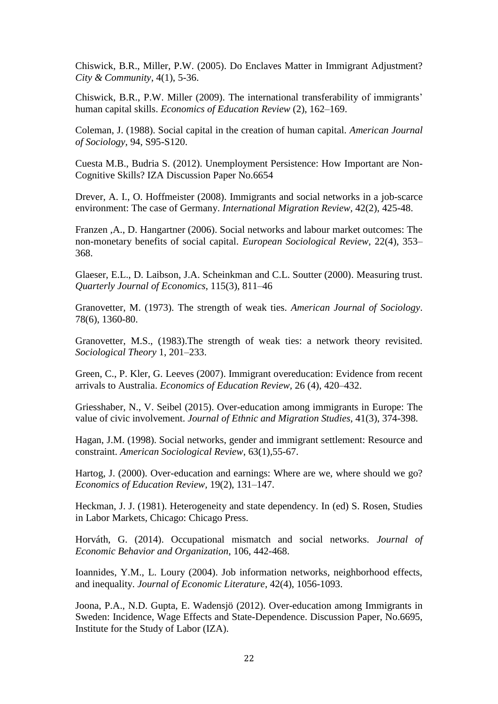Chiswick, B.R., Miller, P.W. (2005). Do Enclaves Matter in Immigrant Adjustment? *City & Community*, 4(1), 5-36.

Chiswick, B.R., P.W. Miller (2009). The international transferability of immigrants' human capital skills. *Economics of Education Review* (2), 162–169.

Coleman, J. (1988). Social capital in the creation of human capital. *American Journal of Sociology*, 94, S95-S120.

Cuesta M.B., Budria S. (2012). Unemployment Persistence: How Important are Non-Cognitive Skills? IZA Discussion Paper No.6654

Drever, A. I., O. Hoffmeister (2008). Immigrants and social networks in a job-scarce environment: The case of Germany. *International Migration Review,* 42(2), 425-48.

Franzen ,A., D. Hangartner (2006). Social networks and labour market outcomes: The non-monetary benefits of social capital. *European Sociological Review,* 22(4), 353– 368.

Glaeser, E.L., D. Laibson, J.A. Scheinkman and C.L. Soutter (2000). Measuring trust. *Quarterly Journal of Economics*, 115(3), 811–46

Granovetter, M. (1973). The strength of weak ties. *American Journal of Sociology*. 78(6), 1360-80.

Granovetter, M.S., (1983).The strength of weak ties: a network theory revisited. *Sociological Theory* 1, 201–233.

Green, C., P. Kler, G. Leeves (2007). Immigrant overeducation: Evidence from recent arrivals to Australia. *Economics of Education Review,* 26 (4), 420–432.

Griesshaber, N., V. Seibel (2015). Over-education among immigrants in Europe: The value of civic involvement. *Journal of Ethnic and Migration Studies*, 41(3), 374-398.

Hagan, J.M. (1998). Social networks, gender and immigrant settlement: Resource and constraint. *American Sociological Review*, 63(1),55-67.

Hartog, J. (2000). Over-education and earnings: Where are we, where should we go? *Economics of Education Review,* 19(2), 131–147.

Heckman, J. J. (1981). Heterogeneity and state dependency. In (ed) S. Rosen, Studies in Labor Markets, Chicago: Chicago Press.

Horváth, G. (2014). Occupational mismatch and social networks. *Journal of Economic Behavior and Organization*, 106, 442-468.

Ioannides, Y.M., L. Loury (2004). Job information networks, neighborhood effects, and inequality. *Journal of Economic Literature*, 42(4), 1056-1093.

Joona, P.A., N.D. Gupta, E. Wadensjö (2012). Over-education among Immigrants in Sweden: Incidence, Wage Effects and State-Dependence. Discussion Paper, No.6695, Institute for the Study of Labor (IZA).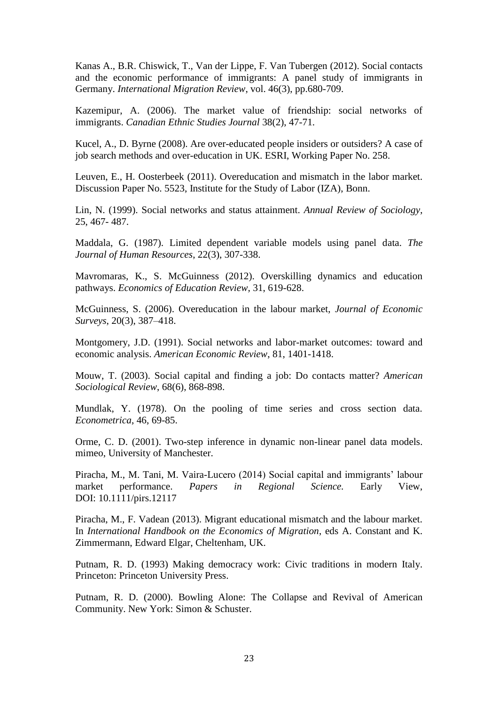Kanas A., B.R. Chiswick, T., Van der Lippe, F. Van Tubergen (2012). Social contacts and the economic performance of immigrants: A panel study of immigrants in Germany. *International Migration Review*, vol. 46(3), pp.680-709.

Kazemipur, A. (2006). The market value of friendship: social networks of immigrants. *Canadian Ethnic Studies Journal* 38(2), 47-71.

Kucel, A., D. Byrne (2008). Are over-educated people insiders or outsiders? A case of job search methods and over-education in UK. ESRI, Working Paper No. 258.

Leuven, E., H. Oosterbeek (2011). Overeducation and mismatch in the labor market. Discussion Paper No. 5523, Institute for the Study of Labor (IZA), Bonn.

Lin, N. (1999). Social networks and status attainment. *Annual Review of Sociology*, 25, 467- 487.

Maddala, G. (1987). Limited dependent variable models using panel data. *The Journal of Human Resources*, 22(3), 307-338.

Mavromaras, K., S. McGuinness (2012). Overskilling dynamics and education pathways. *Economics of Education Review,* 31, 619-628.

McGuinness, S. (2006). Overeducation in the labour market, *Journal of Economic Surveys*, 20(3), 387–418.

Montgomery, J.D. (1991). Social networks and labor-market outcomes: toward and economic analysis. *American Economic Review*, 81, 1401-1418.

Mouw, T. (2003). Social capital and finding a job: Do contacts matter? *American Sociological Review*, 68(6), 868-898.

Mundlak, Y. (1978). On the pooling of time series and cross section data. *Econometrica*, 46, 69-85.

Orme, C. D. (2001). Two-step inference in dynamic non-linear panel data models. mimeo, University of Manchester.

Piracha, M., M. Tani, M. Vaira-Lucero (2014) Social capital and immigrants' labour market performance. *Papers in Regional Science.* Early View, DOI: 10.1111/pirs.12117

Piracha, M., F. Vadean (2013). Migrant educational mismatch and the labour market. In *International Handbook on the Economics of Migration*, eds A. Constant and K. Zimmermann, Edward Elgar, Cheltenham, UK.

Putnam, R. D. (1993) Making democracy work: Civic traditions in modern Italy. Princeton: Princeton University Press.

Putnam, R. D. (2000). Bowling Alone: The Collapse and Revival of American Community. New York: Simon & Schuster.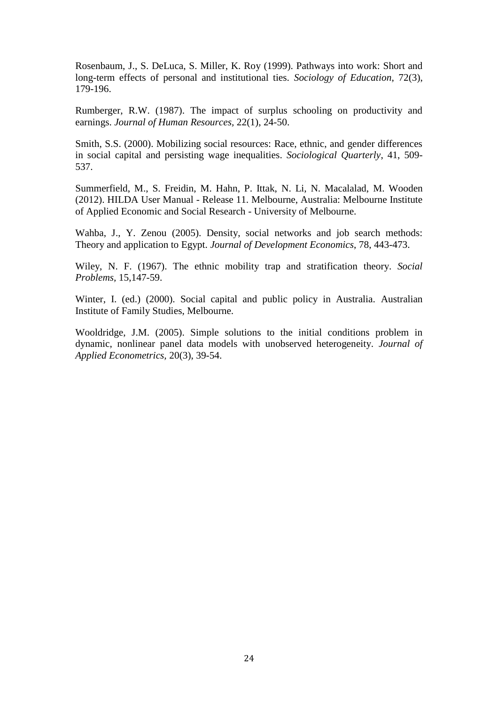Rosenbaum, J., S. DeLuca, S. Miller, K. Roy (1999). Pathways into work: Short and long-term effects of personal and institutional ties. *Sociology of Education*, 72(3), 179-196.

Rumberger, R.W. (1987). The impact of surplus schooling on productivity and earnings. *Journal of Human Resources,* 22(1), 24-50.

Smith, S.S. (2000). Mobilizing social resources: Race, ethnic, and gender differences in social capital and persisting wage inequalities. *Sociological Quarterly*, 41, 509- 537.

Summerfield, M., S. Freidin, M. Hahn, P. Ittak, N. Li, N. Macalalad, M. Wooden (2012). HILDA User Manual - Release 11. Melbourne, Australia: Melbourne Institute of Applied Economic and Social Research - University of Melbourne.

Wahba, J., Y. Zenou (2005). Density, social networks and job search methods: Theory and application to Egypt. *Journal of Development Economics*, 78, 443-473.

Wiley, N. F. (1967). The ethnic mobility trap and stratification theory. *Social Problems,* 15,147-59.

Winter, I. (ed.) (2000). Social capital and public policy in Australia. Australian Institute of Family Studies, Melbourne.

Wooldridge, J.M. (2005). Simple solutions to the initial conditions problem in dynamic, nonlinear panel data models with unobserved heterogeneity. *Journal of Applied Econometrics,* 20(3), 39-54.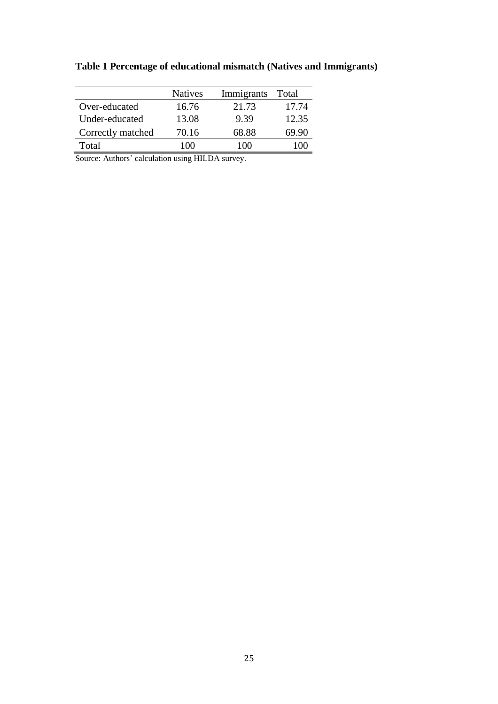|                   | <b>Natives</b> | Immigrants | <b>Total</b> |
|-------------------|----------------|------------|--------------|
| Over-educated     | 16.76          | 21.73      | 17.74        |
| Under-educated    | 13.08          | 9.39       | 12.35        |
| Correctly matched | 70.16          | 68.88      | 69.90        |
| Total             | 100            | (1)        |              |

**Table 1 Percentage of educational mismatch (Natives and Immigrants)**

Source: Authors' calculation using HILDA survey.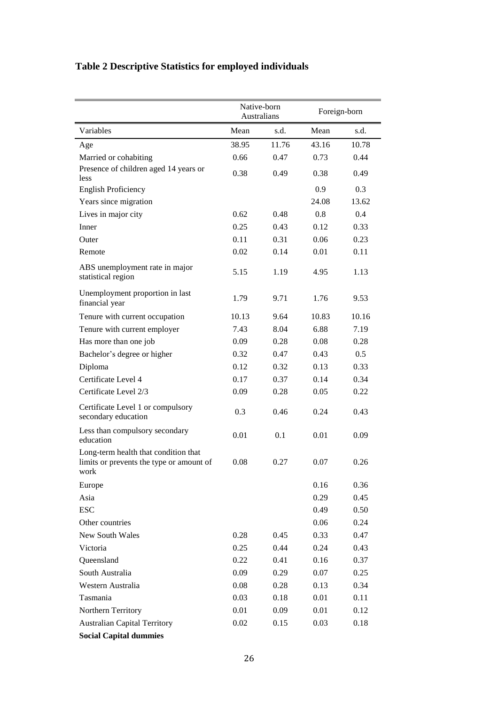|                                                                                          | Native-born<br>Australians |       | Foreign-born |       |
|------------------------------------------------------------------------------------------|----------------------------|-------|--------------|-------|
| Variables                                                                                | Mean                       | s.d.  | Mean         | s.d.  |
| Age                                                                                      | 38.95                      | 11.76 | 43.16        | 10.78 |
| Married or cohabiting                                                                    | 0.66                       | 0.47  | 0.73         | 0.44  |
| Presence of children aged 14 years or<br>less                                            | 0.38                       | 0.49  | 0.38         | 0.49  |
| <b>English Proficiency</b>                                                               |                            |       | 0.9          | 0.3   |
| Years since migration                                                                    |                            |       | 24.08        | 13.62 |
| Lives in major city                                                                      | 0.62                       | 0.48  | 0.8          | 0.4   |
| Inner                                                                                    | 0.25                       | 0.43  | 0.12         | 0.33  |
| Outer                                                                                    | 0.11                       | 0.31  | 0.06         | 0.23  |
| Remote                                                                                   | 0.02                       | 0.14  | 0.01         | 0.11  |
| ABS unemployment rate in major<br>statistical region                                     | 5.15                       | 1.19  | 4.95         | 1.13  |
| Unemployment proportion in last<br>financial year                                        | 1.79                       | 9.71  | 1.76         | 9.53  |
| Tenure with current occupation                                                           | 10.13                      | 9.64  | 10.83        | 10.16 |
| Tenure with current employer                                                             | 7.43                       | 8.04  | 6.88         | 7.19  |
| Has more than one job                                                                    | 0.09                       | 0.28  | 0.08         | 0.28  |
| Bachelor's degree or higher                                                              | 0.32                       | 0.47  | 0.43         | 0.5   |
| Diploma                                                                                  | 0.12                       | 0.32  | 0.13         | 0.33  |
| Certificate Level 4                                                                      | 0.17                       | 0.37  | 0.14         | 0.34  |
| Certificate Level 2/3                                                                    | 0.09                       | 0.28  | 0.05         | 0.22  |
| Certificate Level 1 or compulsory<br>secondary education                                 | 0.3                        | 0.46  | 0.24         | 0.43  |
| Less than compulsory secondary<br>education                                              | 0.01                       | 0.1   | 0.01         | 0.09  |
| Long-term health that condition that<br>limits or prevents the type or amount of<br>work | 0.08                       | 0.27  | 0.07         | 0.26  |
| Europe                                                                                   |                            |       | 0.16         | 0.36  |
| Asia                                                                                     |                            |       | 0.29         | 0.45  |
| <b>ESC</b>                                                                               |                            |       | 0.49         | 0.50  |
| Other countries                                                                          |                            |       | 0.06         | 0.24  |
| New South Wales                                                                          | 0.28                       | 0.45  | 0.33         | 0.47  |
| Victoria                                                                                 | 0.25                       | 0.44  | 0.24         | 0.43  |
| Queensland                                                                               | 0.22                       | 0.41  | 0.16         | 0.37  |
| South Australia                                                                          | 0.09                       | 0.29  | 0.07         | 0.25  |
| Western Australia                                                                        | 0.08                       | 0.28  | 0.13         | 0.34  |
| Tasmania                                                                                 | 0.03                       | 0.18  | 0.01         | 0.11  |
| Northern Territory                                                                       | 0.01                       | 0.09  | 0.01         | 0.12  |
| <b>Australian Capital Territory</b>                                                      | 0.02                       | 0.15  | 0.03         | 0.18  |
| <b>Social Capital dummies</b>                                                            |                            |       |              |       |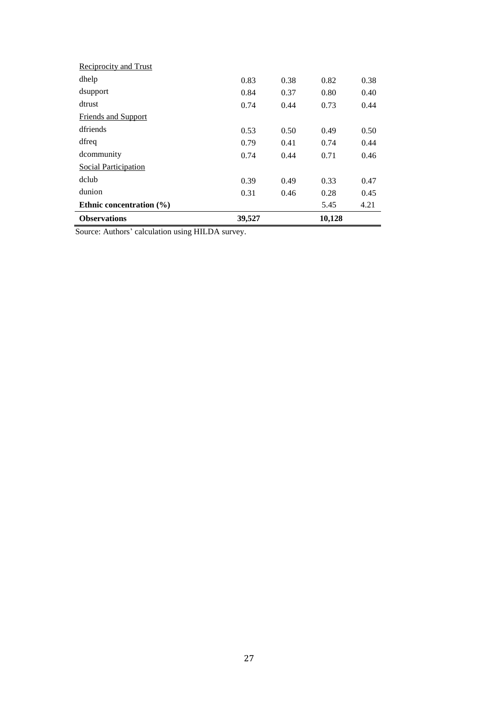| <b>Observations</b>          | 39,527 |      | 10,128 |      |
|------------------------------|--------|------|--------|------|
| Ethnic concentration $(\% )$ |        |      | 5.45   | 4.21 |
| dunion                       | 0.31   | 0.46 | 0.28   | 0.45 |
| dclub                        | 0.39   | 0.49 | 0.33   | 0.47 |
| Social Participation         |        |      |        |      |
| dcommunity                   | 0.74   | 0.44 | 0.71   | 0.46 |
| dfreq                        | 0.79   | 0.41 | 0.74   | 0.44 |
| dfriends                     | 0.53   | 0.50 | 0.49   | 0.50 |
| <b>Friends and Support</b>   |        |      |        |      |
| dtrust                       | 0.74   | 0.44 | 0.73   | 0.44 |
| dsupport                     | 0.84   | 0.37 | 0.80   | 0.40 |
| dhelp                        | 0.83   | 0.38 | 0.82   | 0.38 |
| <b>Reciprocity and Trust</b> |        |      |        |      |

Source: Authors' calculation using HILDA survey.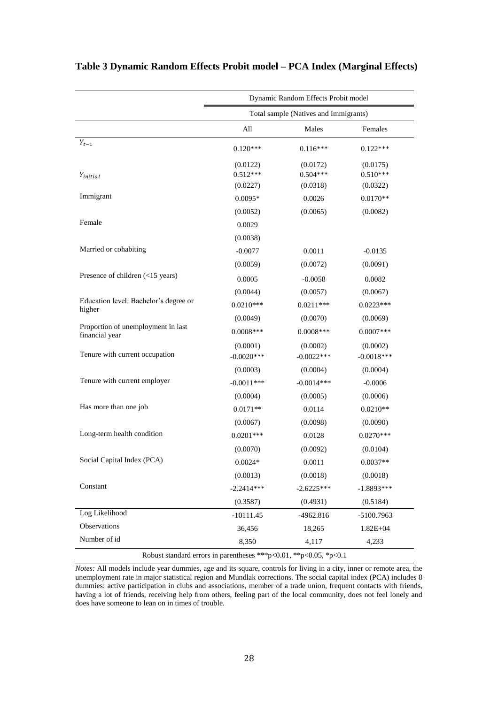|                                                                   | Dynamic Random Effects Probit model |                                       |                          |  |  |  |  |
|-------------------------------------------------------------------|-------------------------------------|---------------------------------------|--------------------------|--|--|--|--|
|                                                                   |                                     | Total sample (Natives and Immigrants) |                          |  |  |  |  |
|                                                                   | All                                 | Males                                 | Females                  |  |  |  |  |
| $Y_{t-1}$                                                         | $0.120***$                          | $0.116***$                            | $0.122***$               |  |  |  |  |
| $Y_{initial}$                                                     | (0.0122)<br>$0.512***$              | (0.0172)<br>$0.504***$                | (0.0175)<br>$0.510***$   |  |  |  |  |
| Immigrant                                                         | (0.0227)<br>$0.0095*$               | (0.0318)<br>0.0026                    | (0.0322)<br>$0.0170**$   |  |  |  |  |
|                                                                   | (0.0052)                            | (0.0065)                              | (0.0082)                 |  |  |  |  |
| Female                                                            | 0.0029                              |                                       |                          |  |  |  |  |
|                                                                   | (0.0038)                            |                                       |                          |  |  |  |  |
| Married or cohabiting                                             | $-0.0077$                           | 0.0011                                | $-0.0135$                |  |  |  |  |
|                                                                   | (0.0059)                            | (0.0072)                              | (0.0091)                 |  |  |  |  |
| Presence of children (<15 years)                                  | 0.0005                              | $-0.0058$                             | 0.0082                   |  |  |  |  |
|                                                                   | (0.0044)                            | (0.0057)                              | (0.0067)                 |  |  |  |  |
| Education level: Bachelor's degree or<br>higher                   | $0.0210***$                         | $0.0211***$                           | $0.0223***$              |  |  |  |  |
|                                                                   | (0.0049)                            | (0.0070)                              | (0.0069)                 |  |  |  |  |
| Proportion of unemployment in last<br>financial year              | $0.0008***$                         | $0.0008***$                           | $0.0007***$              |  |  |  |  |
| Tenure with current occupation                                    | (0.0001)<br>$-0.0020***$            | (0.0002)<br>$-0.0022***$              | (0.0002)<br>$-0.0018***$ |  |  |  |  |
|                                                                   | (0.0003)                            | (0.0004)                              | (0.0004)                 |  |  |  |  |
| Tenure with current employer                                      | $-0.0011***$                        | $-0.0014***$                          | $-0.0006$                |  |  |  |  |
|                                                                   | (0.0004)                            | (0.0005)                              | (0.0006)                 |  |  |  |  |
| Has more than one job                                             | $0.0171**$                          | 0.0114                                | $0.0210**$               |  |  |  |  |
|                                                                   | (0.0067)                            | (0.0098)                              | (0.0090)                 |  |  |  |  |
| Long-term health condition                                        | $0.0201***$                         | 0.0128                                | $0.0270***$              |  |  |  |  |
|                                                                   | (0.0070)                            | (0.0092)                              | (0.0104)                 |  |  |  |  |
| Social Capital Index (PCA)                                        | $0.0024*$                           | 0.0011                                | $0.0037**$               |  |  |  |  |
|                                                                   | (0.0013)                            | (0.0018)                              | (0.0018)                 |  |  |  |  |
| Constant                                                          | $-2.2414***$                        | $-2.6225***$                          | $-1.8893***$             |  |  |  |  |
|                                                                   | (0.3587)                            | (0.4931)                              | (0.5184)                 |  |  |  |  |
| Log Likelihood                                                    | $-10111.45$                         | $-4962.816$                           | $-5100.7963$             |  |  |  |  |
| Observations                                                      | 36,456                              | 18,265                                | $1.82E + 04$             |  |  |  |  |
| Number of id                                                      | 8,350                               | 4,117                                 | 4,233                    |  |  |  |  |
| Robust standard errors in parentheses ***p<0.01, **p<0.05, *p<0.1 |                                     |                                       |                          |  |  |  |  |

### **Table 3 Dynamic Random Effects Probit model – PCA Index (Marginal Effects)**

*Notes:* All models include year dummies, age and its square, controls for living in a city, inner or remote area, the unemployment rate in major statistical region and Mundlak corrections. The social capital index (PCA) includes 8 dummies: active participation in clubs and associations, member of a trade union, frequent contacts with friends, having a lot of friends, receiving help from others, feeling part of the local community, does not feel lonely and does have someone to lean on in times of trouble.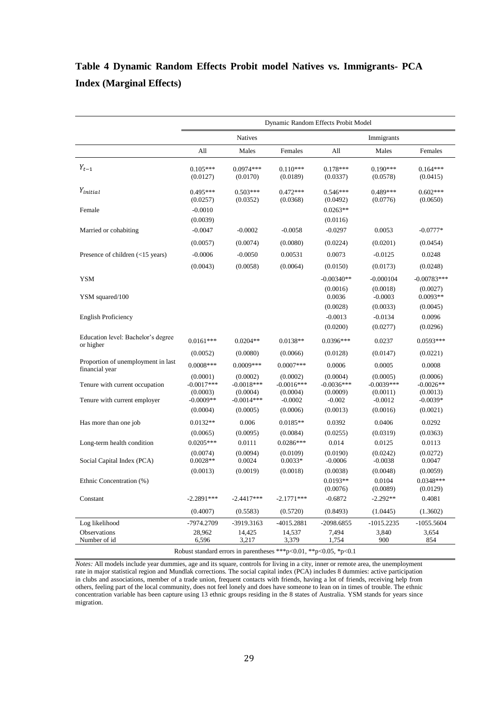## **Table 4 Dynamic Random Effects Probit model Natives vs. Immigrants- PCA Index (Marginal Effects)**

|                                                      | Dynamic Random Effects Probit Model  |                                                                            |                                      |                                      |                                      |                                     |
|------------------------------------------------------|--------------------------------------|----------------------------------------------------------------------------|--------------------------------------|--------------------------------------|--------------------------------------|-------------------------------------|
|                                                      |                                      | Natives                                                                    |                                      |                                      | Immigrants                           |                                     |
|                                                      | All                                  | Males                                                                      | Females                              | All                                  | Males                                | Females                             |
| $Y_{t-1}$                                            | $0.105***$<br>(0.0127)               | $0.0974***$<br>(0.0170)                                                    | $0.110***$<br>(0.0189)               | $0.178***$<br>(0.0337)               | $0.190***$<br>(0.0578)               | $0.164***$<br>(0.0415)              |
| $Y_{initial}$                                        | $0.495***$<br>(0.0257)               | $0.503***$<br>(0.0352)                                                     | $0.472***$<br>(0.0368)               | $0.546***$<br>(0.0492)               | $0.489***$<br>(0.0776)               | $0.602***$<br>(0.0650)              |
| Female                                               | $-0.0010$<br>(0.0039)                |                                                                            |                                      | $0.0263**$<br>(0.0116)               |                                      |                                     |
| Married or cohabiting                                | $-0.0047$                            | $-0.0002$                                                                  | $-0.0058$                            | $-0.0297$                            | 0.0053                               | $-0.0777*$                          |
|                                                      | (0.0057)                             | (0.0074)                                                                   | (0.0080)                             | (0.0224)                             | (0.0201)                             | (0.0454)                            |
| Presence of children (<15 years)                     | $-0.0006$                            | $-0.0050$                                                                  | 0.00531                              | 0.0073                               | $-0.0125$                            | 0.0248                              |
|                                                      | (0.0043)                             | (0.0058)                                                                   | (0.0064)                             | (0.0150)                             | (0.0173)                             | (0.0248)                            |
| <b>YSM</b>                                           |                                      |                                                                            |                                      | $-0.00340**$                         | $-0.000104$                          | $-0.00783***$                       |
| YSM squared/100                                      |                                      |                                                                            |                                      | (0.0016)<br>0.0036                   | (0.0018)<br>$-0.0003$                | (0.0027)<br>$0.0093**$              |
|                                                      |                                      |                                                                            |                                      | (0.0028)                             | (0.0033)                             | (0.0045)                            |
| <b>English Proficiency</b>                           |                                      |                                                                            |                                      | $-0.0013$                            | $-0.0134$                            | 0.0096                              |
|                                                      |                                      |                                                                            |                                      | (0.0200)                             | (0.0277)                             | (0.0296)                            |
| Education level: Bachelor's degree<br>or higher      | $0.0161***$                          | $0.0204**$                                                                 | $0.0138**$                           | 0.0396***                            | 0.0237                               | $0.0593***$                         |
|                                                      | (0.0052)                             | (0.0080)                                                                   | (0.0066)                             | (0.0128)                             | (0.0147)                             | (0.0221)                            |
| Proportion of unemployment in last<br>financial year | $0.0008***$                          | $0.0009***$                                                                | $0.0007***$                          | 0.0006                               | 0.0005                               | 0.0008                              |
| Tenure with current occupation                       | (0.0001)<br>$-0.0017***$<br>(0.0003) | (0.0002)<br>$-0.0018***$<br>(0.0004)                                       | (0.0002)<br>$-0.0016***$<br>(0.0004) | (0.0004)<br>$-0.0036***$<br>(0.0009) | (0.0005)<br>$-0.0039***$<br>(0.0011) | (0.0006)<br>$-0.0026**$<br>(0.0013) |
| Tenure with current employer                         | $-0.0009**$<br>(0.0004)              | $-0.0014***$<br>(0.0005)                                                   | $-0.0002$<br>(0.0006)                | $-0.002$<br>(0.0013)                 | $-0.0012$<br>(0.0016)                | $-0.0039*$<br>(0.0021)              |
| Has more than one job                                | $0.0132**$                           | 0.006                                                                      | $0.0185**$                           | 0.0392                               | 0.0406                               | 0.0292                              |
|                                                      | (0.0065)                             | (0.0095)                                                                   | (0.0084)                             | (0.0255)                             | (0.0319)                             | (0.0363)                            |
| Long-term health condition                           | $0.0205***$                          | 0.0111                                                                     | $0.0286***$                          | 0.014                                | 0.0125                               | 0.0113                              |
| Social Capital Index (PCA)                           | (0.0074)<br>$0.0028**$               | (0.0094)<br>0.0024                                                         | (0.0109)<br>$0.0033*$                | (0.0190)<br>$-0.0006$                | (0.0242)<br>$-0.0038$                | (0.0272)<br>0.0047                  |
|                                                      | (0.0013)                             | (0.0019)                                                                   | (0.0018)                             | (0.0038)                             | (0.0048)                             | (0.0059)                            |
| Ethnic Concentration (%)                             |                                      |                                                                            |                                      | $0.0193**$<br>(0.0076)               | 0.0104<br>(0.0089)                   | $0.0348***$<br>(0.0129)             |
| Constant                                             | $-2.2891***$                         | $-2.4417***$                                                               | $-2.1771***$                         | $-0.6872$                            | $-2.292**$                           | 0.4081                              |
|                                                      | (0.4007)                             | (0.5583)                                                                   | (0.5720)                             | (0.8493)                             | (1.0445)                             | (1.3602)                            |
| Log likelihood                                       | -7974.2709                           | -3919.3163                                                                 | -4015.2881                           | $-2098.6855$                         | $-1015.2235$                         | $-1055.5604$                        |
| Observations                                         | 28,962                               | 14,425                                                                     | 14,537                               | 7,494                                | 3,840                                | 3,654                               |
| Number of id                                         | 6,596                                | 3,217<br>Robust standard errors in parentheses ***p<0.01, **p<0.05, *p<0.1 | 3,379                                | 1,754                                | 900                                  | 854                                 |

*Notes:* All models include year dummies, age and its square, controls for living in a city, inner or remote area, the unemployment rate in major statistical region and Mundlak corrections. The social capital index (PCA) includes 8 dummies: active participation in clubs and associations, member of a trade union, frequent contacts with friends, having a lot of friends, receiving help from others, feeling part of the local community, does not feel lonely and does have someone to lean on in times of trouble. The ethnic concentration variable has been capture using 13 ethnic groups residing in the 8 states of Australia. YSM stands for years since migration.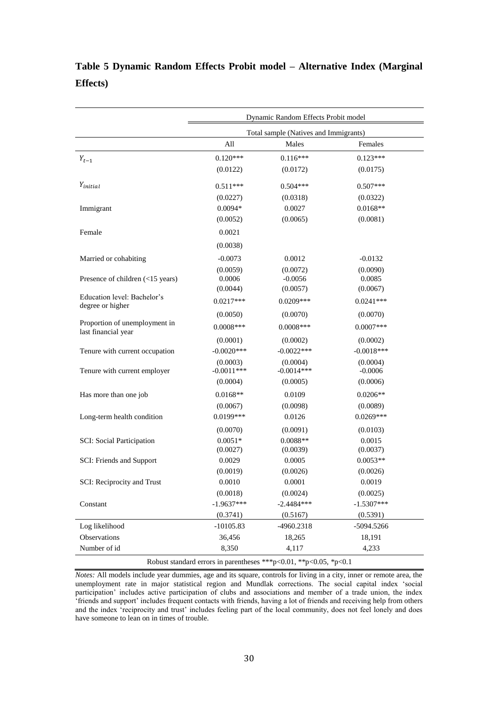|                                                      | Dynamic Random Effects Probit model |                                       |                        |  |  |
|------------------------------------------------------|-------------------------------------|---------------------------------------|------------------------|--|--|
|                                                      |                                     | Total sample (Natives and Immigrants) |                        |  |  |
|                                                      | All                                 | Males                                 | Females                |  |  |
| $Y_{t-1}$                                            | $0.120***$                          | $0.116***$                            | $0.123***$             |  |  |
|                                                      | (0.0122)                            | (0.0172)                              | (0.0175)               |  |  |
| Y <sub>initial</sub>                                 |                                     |                                       |                        |  |  |
|                                                      | $0.511***$                          | $0.504***$                            | $0.507***$             |  |  |
|                                                      | (0.0227)<br>$0.0094*$               | (0.0318)<br>0.0027                    | (0.0322)<br>$0.0168**$ |  |  |
| Immigrant                                            | (0.0052)                            | (0.0065)                              | (0.0081)               |  |  |
|                                                      |                                     |                                       |                        |  |  |
| Female                                               | 0.0021                              |                                       |                        |  |  |
|                                                      | (0.0038)                            |                                       |                        |  |  |
| Married or cohabiting                                | $-0.0073$                           | 0.0012                                | $-0.0132$              |  |  |
|                                                      | (0.0059)                            | (0.0072)                              | (0.0090)               |  |  |
| Presence of children (<15 years)                     | 0.0006<br>(0.0044)                  | $-0.0056$<br>(0.0057)                 | 0.0085<br>(0.0067)     |  |  |
| Education level: Bachelor's                          |                                     |                                       |                        |  |  |
| degree or higher                                     | $0.0217***$                         | $0.0209***$                           | $0.0241***$            |  |  |
|                                                      | (0.0050)                            | (0.0070)                              | (0.0070)               |  |  |
| Proportion of unemployment in<br>last financial year | $0.0008***$                         | $0.0008***$                           | $0.0007***$            |  |  |
|                                                      | (0.0001)                            | (0.0002)                              | (0.0002)               |  |  |
| Tenure with current occupation                       | $-0.0020***$                        | $-0.0022***$                          | $-0.0018***$           |  |  |
|                                                      | (0.0003)                            | (0.0004)                              | (0.0004)               |  |  |
| Tenure with current employer                         | $-0.0011***$                        | $-0.0014***$                          | $-0.0006$              |  |  |
|                                                      | (0.0004)                            | (0.0005)                              | (0.0006)               |  |  |
| Has more than one job                                | $0.0168**$                          | 0.0109                                | $0.0206**$             |  |  |
|                                                      | (0.0067)                            | (0.0098)                              | (0.0089)               |  |  |
| Long-term health condition                           | 0.0199***                           | 0.0126                                | $0.0269***$            |  |  |
|                                                      | (0.0070)                            | (0.0091)                              | (0.0103)               |  |  |
| <b>SCI:</b> Social Participation                     | $0.0051*$                           | $0.0088**$                            | 0.0015                 |  |  |
|                                                      | (0.0027)<br>0.0029                  | (0.0039)<br>0.0005                    | (0.0037)<br>$0.0053**$ |  |  |
| SCI: Friends and Support                             | (0.0019)                            | (0.0026)                              | (0.0026)               |  |  |
| SCI: Reciprocity and Trust                           | 0.0010                              | 0.0001                                | 0.0019                 |  |  |
|                                                      | (0.0018)                            | (0.0024)                              | (0.0025)               |  |  |
| Constant                                             | $-1.9637***$                        | $-2.4484***$                          | $-1.5307***$           |  |  |
|                                                      | (0.3741)                            | (0.5167)                              | (0.5391)               |  |  |
| Log likelihood                                       | $-10105.83$                         | -4960.2318                            | -5094.5266             |  |  |
| Observations                                         | 36,456                              | 18,265                                | 18,191                 |  |  |
| Number of id                                         | 8,350                               | 4,117                                 | 4,233                  |  |  |
|                                                      |                                     |                                       |                        |  |  |

## **Table 5 Dynamic Random Effects Probit model – Alternative Index (Marginal Effects)**

Robust standard errors in parentheses \*\*\*p<0.01, \*\*p<0.05, \*p<0.1

*Notes:* All models include year dummies, age and its square, controls for living in a city, inner or remote area, the unemployment rate in major statistical region and Mundlak corrections. The social capital index 'social participation' includes active participation of clubs and associations and member of a trade union, the index 'friends and support' includes frequent contacts with friends, having a lot of friends and receiving help from others and the index 'reciprocity and trust' includes feeling part of the local community, does not feel lonely and does have someone to lean on in times of trouble.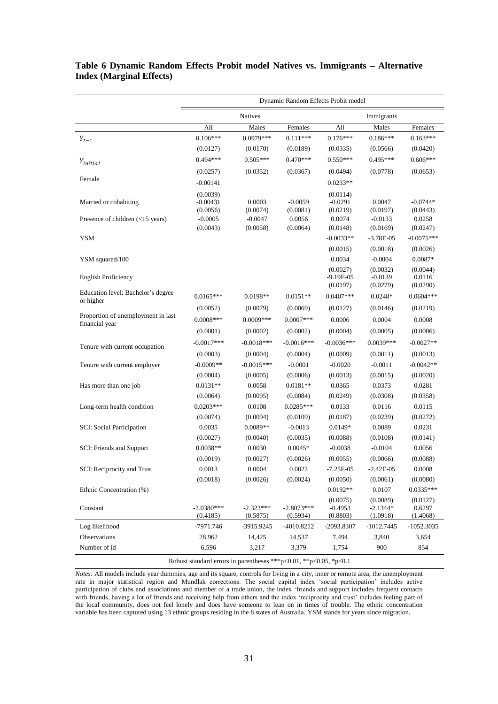|                                                      | Dynamic Random Effects Probit model                               |                         |                          |                                       |                                    |                                |
|------------------------------------------------------|-------------------------------------------------------------------|-------------------------|--------------------------|---------------------------------------|------------------------------------|--------------------------------|
|                                                      |                                                                   | <b>Natives</b>          |                          |                                       | Immigrants                         |                                |
|                                                      | All                                                               | Males                   | Females                  | All                                   | Males                              | Females                        |
| $Y_{t-1}$                                            | $0.106***$                                                        | 0.0979***               | $0.111***$               | $0.176***$                            | $0.186***$                         | $0.163***$                     |
|                                                      | (0.0127)                                                          | (0.0170)                | (0.0189)                 | (0.0335)                              | (0.0566)                           | (0.0420)                       |
| Yinitial                                             | $0.494***$                                                        | $0.505***$              | $0.470***$               | $0.550***$                            | $0.495***$                         | $0.606***$                     |
|                                                      | (0.0257)                                                          | (0.0352)                | (0.0367)                 | (0.0494)                              | (0.0778)                           | (0.0653)                       |
| Female                                               | $-0.00141$                                                        |                         |                          | $0.0233**$                            |                                    |                                |
| Married or cohabiting                                | (0.0039)<br>$-0.00431$<br>(0.0056)                                | 0.0003<br>(0.0074)      | $-0.0059$<br>(0.0081)    | (0.0114)<br>$-0.0291$<br>(0.0219)     | 0.0047<br>(0.0197)                 | $-0.0744*$<br>(0.0443)         |
| Presence of children (<15 years)                     | $-0.0005$<br>(0.0043)                                             | $-0.0047$<br>(0.0058)   | 0.0056<br>(0.0064)       | 0.0074<br>(0.0148)                    | $-0.0133$<br>(0.0169)              | 0.0258<br>(0.0247)             |
| <b>YSM</b>                                           |                                                                   |                         |                          | $-0.0033**$                           | $-3.78E-05$                        | $-0.0075***$                   |
|                                                      |                                                                   |                         |                          | (0.0015)                              | (0.0018)                           | (0.0026)                       |
| YSM squared/100                                      |                                                                   |                         |                          | 0.0034                                | $-0.0004$                          | $0.0087*$                      |
| <b>English Proficiency</b>                           |                                                                   |                         |                          | (0.0027)<br>$-9.19E - 05$<br>(0.0197) | (0.0032)<br>$-0.0139$<br>(0.0279)  | (0.0044)<br>0.0116<br>(0.0290) |
| Education level: Bachelor's degree                   | $0.0165***$                                                       | 0.0198**                | $0.0151**$               | $0.0407***$                           | $0.0248*$                          | $0.0604***$                    |
| or higher                                            | (0.0052)                                                          | (0.0079)                | (0.0069)                 | (0.0127)                              | (0.0146)                           | (0.0219)                       |
| Proportion of unemployment in last<br>financial year | $0.0008***$                                                       | $0.0009***$             | $0.0007***$              | 0.0006                                | 0.0004                             | 0.0008                         |
|                                                      | (0.0001)                                                          | (0.0002)                | (0.0002)                 | (0.0004)                              | (0.0005)                           | (0.0006)                       |
|                                                      | $-0.0017***$                                                      | $-0.0018***$            | $-0.0016***$             | $-0.0036***$                          | $0.0039***$                        | $-0.0027**$                    |
| Tenure with current occupation                       | (0.0003)                                                          | (0.0004)                | (0.0004)                 | (0.0009)                              | (0.0011)                           | (0.0013)                       |
| Tenure with current employer                         | $-0.0009**$                                                       | $-0.0015***$            | $-0.0001$                | $-0.0020$                             | $-0.0011$                          | $-0.0042**$                    |
|                                                      | (0.0004)                                                          | (0.0005)                | (0.0006)                 | (0.0013)                              | (0.0015)                           | (0.0020)                       |
| Has more than one job                                | $0.0131**$                                                        | 0.0058                  | $0.0181**$               | 0.0365                                | 0.0373                             | 0.0281                         |
|                                                      | (0.0064)                                                          | (0.0095)                | (0.0084)                 | (0.0249)                              | (0.0308)                           | (0.0358)                       |
| Long-term health condition                           | $0.0203***$                                                       | 0.0108                  | $0.0285***$              | 0.0133                                | 0.0116                             | 0.0115                         |
|                                                      | (0.0074)                                                          | (0.0094)                | (0.0109)                 | (0.0187)                              | (0.0239)                           | (0.0272)                       |
| SCI: Social Participation                            | 0.0035                                                            | $0.0089**$              | $-0.0013$                | $0.0149*$                             | 0.0089                             | 0.0231                         |
|                                                      | (0.0027)                                                          | (0.0040)                | (0.0035)                 | (0.0088)                              | (0.0108)                           | (0.0141)                       |
| SCI: Friends and Support                             | $0.0038**$                                                        | 0.0030                  | $0.0045*$                | $-0.0038$                             | $-0.0104$                          | 0.0056                         |
|                                                      | (0.0019)                                                          | (0.0027)                | (0.0026)                 | (0.0055)                              | (0.0066)                           | (0.0088)                       |
| SCI: Reciprocity and Trust                           | 0.0013                                                            | 0.0004                  | 0.0022                   | 7.25E-05                              | $-2.42E - 05$                      | 0.0008                         |
|                                                      | (0.0018)                                                          | (0.0026)                | (0.0024)                 | (0.0050)                              | (0.0061)                           | (0.0080)                       |
| Ethnic Concentration (%)                             |                                                                   |                         |                          | $0.0192**$                            | 0.0107                             | $0.0335***$                    |
| Constant                                             | $-2.0380***$<br>(0.4185)                                          | $-2.323***$<br>(0.5875) | $-2.8073***$<br>(0.5934) | (0.0075)<br>$-0.4953$<br>(0.8803)     | (0.0089)<br>$-2.1344*$<br>(1.0918) | (0.0127)<br>0.6297<br>(1.4068) |
| Log likelihood                                       | -7971.746                                                         | -3915.9245              | -4010.8212               | -2093.8307                            | $-1012.7445$                       | $-1052.3035$                   |
| Observations                                         | 28,962                                                            | 14,425                  | 14,537                   | 7,494                                 | 3,840                              | 3,654                          |
| Number of id                                         | 6,596                                                             | 3,217                   | 3,379                    | 1,754                                 | 900                                | 854                            |
|                                                      | Robust standard errors in parentheses ***p<0.01, **p<0.05, *p<0.1 |                         |                          |                                       |                                    |                                |

#### **Table 6 Dynamic Random Effects Probit model Natives vs. Immigrants – Alternative Index (Marginal Effects)**

*Notes:* All models include year dummies, age and its square, controls for living in a city, inner or remote area, the unemployment rate in major statistical region and Mundlak corrections. The social capital index 'social participation' includes active participation of clubs and associations and member of a trade union, the index 'friends and support includes frequent contacts with friends, having a lot of friends and receiving help from others and the index 'reciprocity and trust' includes feeling part of the local community, does not feel lonely and does have someone to lean on in times of trouble. The ethnic concentration variable has been captured using 13 ethnic groups residing in the 8 states of Australia. YSM stands for years since migration.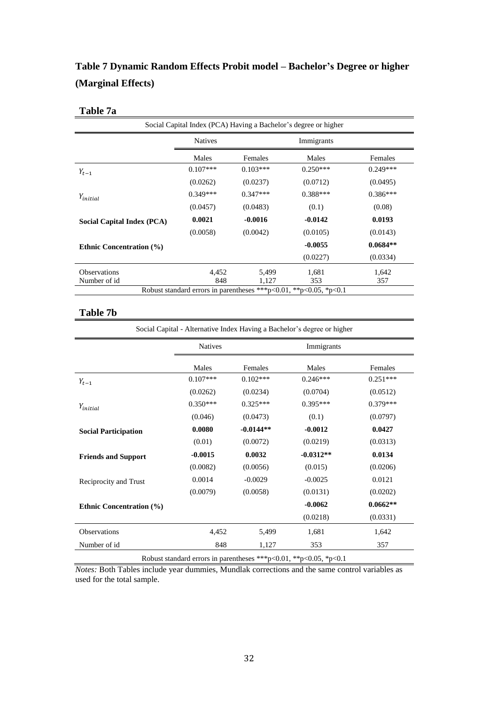## **Table 7 Dynamic Random Effects Probit model – Bachelor's Degree or higher (Marginal Effects)**

### **Table 7a**

| Social Capital Index (PCA) Having a Bachelor's degree or higher |                |            |                                                                   |            |  |
|-----------------------------------------------------------------|----------------|------------|-------------------------------------------------------------------|------------|--|
|                                                                 | <b>Natives</b> |            | Immigrants                                                        |            |  |
|                                                                 | Males          | Females    | Males                                                             | Females    |  |
| $Y_{t-1}$                                                       | $0.107***$     | $0.103***$ | $0.250***$                                                        | $0.249***$ |  |
|                                                                 | (0.0262)       | (0.0237)   | (0.0712)                                                          | (0.0495)   |  |
| $Y_{initial}$                                                   | $0.349***$     | $0.347***$ | $0.388***$                                                        | $0.386***$ |  |
|                                                                 | (0.0457)       | (0.0483)   | (0.1)                                                             | (0.08)     |  |
| Social Capital Index (PCA)                                      | 0.0021         | $-0.0016$  | $-0.0142$                                                         | 0.0193     |  |
|                                                                 | (0.0058)       | (0.0042)   | (0.0105)                                                          | (0.0143)   |  |
| <b>Ethnic Concentration (%)</b>                                 |                |            | $-0.0055$                                                         | $0.0684**$ |  |
|                                                                 |                |            | (0.0227)                                                          | (0.0334)   |  |
| <b>Observations</b>                                             | 4,452          | 5,499      | 1,681                                                             | 1,642      |  |
| Number of id                                                    | 848            | 1,127      | 353                                                               | 357        |  |
|                                                                 |                |            | Robust standard errors in parentheses ***p<0.01, **p<0.05, *p<0.1 |            |  |

### **Table 7b**

|                                 | <b>Natives</b> |             | Immigrants  |            |
|---------------------------------|----------------|-------------|-------------|------------|
|                                 | Males          | Females     | Males       | Females    |
| $Y_{t-1}$                       | $0.107***$     | $0.102***$  | $0.246***$  | $0.251***$ |
|                                 | (0.0262)       | (0.0234)    | (0.0704)    | (0.0512)   |
| Y <sub>initial</sub>            | $0.350***$     | $0.325***$  | $0.395***$  | $0.379***$ |
|                                 | (0.046)        | (0.0473)    | (0.1)       | (0.0797)   |
| <b>Social Participation</b>     | 0.0080         | $-0.0144**$ | $-0.0012$   | 0.0427     |
|                                 | (0.01)         | (0.0072)    | (0.0219)    | (0.0313)   |
| <b>Friends and Support</b>      | $-0.0015$      | 0.0032      | $-0.0312**$ | 0.0134     |
|                                 | (0.0082)       | (0.0056)    | (0.015)     | (0.0206)   |
| Reciprocity and Trust           | 0.0014         | $-0.0029$   | $-0.0025$   | 0.0121     |
|                                 | (0.0079)       | (0.0058)    | (0.0131)    | (0.0202)   |
| <b>Ethnic Concentration (%)</b> |                |             | $-0.0062$   | $0.0662**$ |
|                                 |                |             | (0.0218)    | (0.0331)   |
| Observations                    | 4,452          | 5,499       | 1,681       | 1,642      |
| Number of id                    | 848            | 1,127       | 353         | 357        |

Robust standard errors in parentheses \*\*\*p<0.01, \*\*p<0.05, \*p<0.1

*Notes:* Both Tables include year dummies, Mundlak corrections and the same control variables as used for the total sample.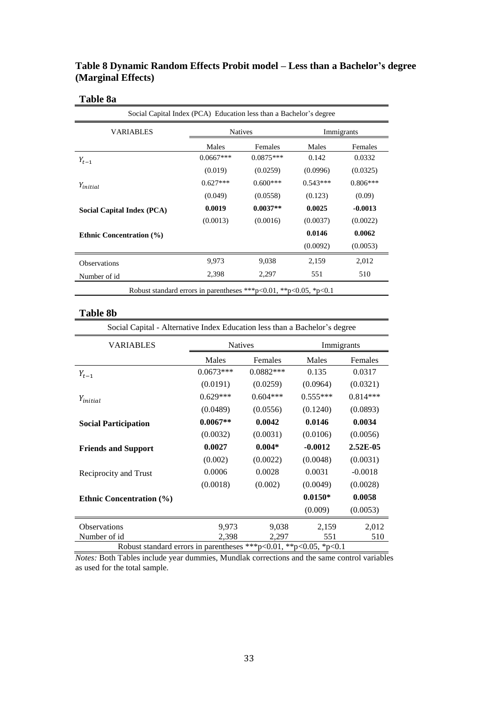### **Table 8 Dynamic Random Effects Probit model – Less than a Bachelor's degree (Marginal Effects)**

### **Table 8a**

| <b>VARIABLES</b>                |             | <b>Natives</b> |            | Immigrants |
|---------------------------------|-------------|----------------|------------|------------|
|                                 | Males       | Females        | Males      | Females    |
| $Y_{t-1}$                       | $0.0667***$ | $0.0875***$    | 0.142      | 0.0332     |
|                                 | (0.019)     | (0.0259)       | (0.0996)   | (0.0325)   |
| Y <sub>initial</sub>            | $0.627***$  | $0.600***$     | $0.543***$ | $0.806***$ |
|                                 | (0.049)     | (0.0558)       | (0.123)    | (0.09)     |
| Social Capital Index (PCA)      | 0.0019      | $0.0037**$     | 0.0025     | $-0.0013$  |
|                                 | (0.0013)    | (0.0016)       | (0.0037)   | (0.0022)   |
| <b>Ethnic Concentration (%)</b> |             |                | 0.0146     | 0.0062     |
|                                 |             |                | (0.0092)   | (0.0053)   |
| <b>Observations</b>             | 9,973       | 9,038          | 2,159      | 2,012      |
| Number of id                    | 2,398       | 2,297          | 551        | 510        |

### **Table 8b**

| Social Capital - Alternative Index Education less than a Bachelor's degree |                |             |            |            |  |
|----------------------------------------------------------------------------|----------------|-------------|------------|------------|--|
| <b>VARIABLES</b>                                                           | <b>Natives</b> |             | Immigrants |            |  |
|                                                                            | Males          | Females     | Males      | Females    |  |
| $Y_{t-1}$                                                                  | $0.0673***$    | $0.0882***$ | 0.135      | 0.0317     |  |
|                                                                            | (0.0191)       | (0.0259)    | (0.0964)   | (0.0321)   |  |
| $Y_{initial}$                                                              | $0.629***$     | $0.604***$  | $0.555***$ | $0.814***$ |  |
|                                                                            | (0.0489)       | (0.0556)    | (0.1240)   | (0.0893)   |  |
| <b>Social Participation</b>                                                | $0.0067**$     | 0.0042      | 0.0146     | 0.0034     |  |
|                                                                            | (0.0032)       | (0.0031)    | (0.0106)   | (0.0056)   |  |
| <b>Friends and Support</b>                                                 | 0.0027         | $0.004*$    | $-0.0012$  | $2.52E-05$ |  |
|                                                                            | (0.002)        | (0.0022)    | (0.0048)   | (0.0031)   |  |
| Reciprocity and Trust                                                      | 0.0006         | 0.0028      | 0.0031     | $-0.0018$  |  |
|                                                                            | (0.0018)       | (0.002)     | (0.0049)   | (0.0028)   |  |
| <b>Ethnic Concentration (%)</b>                                            |                |             | $0.0150*$  | 0.0058     |  |
|                                                                            |                |             | (0.009)    | (0.0053)   |  |
| <b>Observations</b>                                                        | 9,973          | 9,038       | 2,159      | 2,012      |  |
| Number of id                                                               | 2,398          | 2,297       | 551        | 510        |  |
| Robust standard errors in parentheses ***p<0.01, **p<0.05, *p<0.1          |                |             |            |            |  |

*Notes:* Both Tables include year dummies, Mundlak corrections and the same control variables as used for the total sample.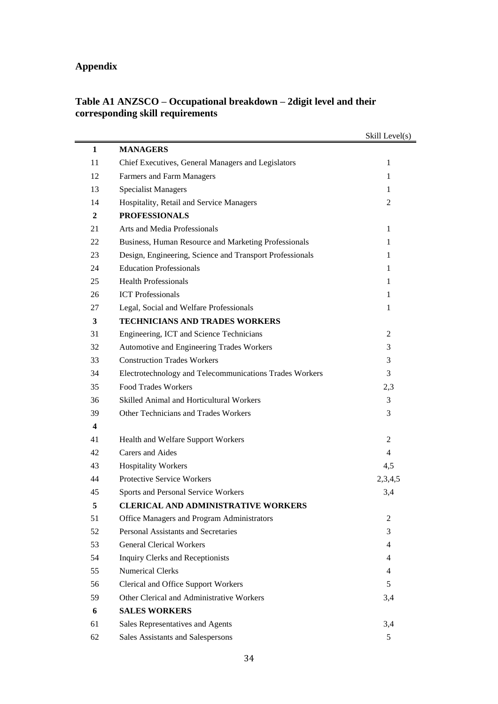## **Appendix**

| Table A1 ANZSCO – Occupational breakdown – 2 digit level and their |  |
|--------------------------------------------------------------------|--|
| corresponding skill requirements                                   |  |

|    |                                                          | Skill Level(s) |
|----|----------------------------------------------------------|----------------|
| 1  | <b>MANAGERS</b>                                          |                |
| 11 | Chief Executives, General Managers and Legislators       | $\mathbf 1$    |
| 12 | Farmers and Farm Managers                                | 1              |
| 13 | <b>Specialist Managers</b>                               | 1              |
| 14 | Hospitality, Retail and Service Managers                 | 2              |
| 2  | <b>PROFESSIONALS</b>                                     |                |
| 21 | Arts and Media Professionals                             | 1              |
| 22 | Business, Human Resource and Marketing Professionals     | 1              |
| 23 | Design, Engineering, Science and Transport Professionals | 1              |
| 24 | <b>Education Professionals</b>                           | 1              |
| 25 | <b>Health Professionals</b>                              | 1              |
| 26 | <b>ICT</b> Professionals                                 | 1              |
| 27 | Legal, Social and Welfare Professionals                  | 1              |
| 3  | <b>TECHNICIANS AND TRADES WORKERS</b>                    |                |
| 31 | Engineering, ICT and Science Technicians                 | 2              |
| 32 | Automotive and Engineering Trades Workers                | 3              |
| 33 | <b>Construction Trades Workers</b>                       | 3              |
| 34 | Electrotechnology and Telecommunications Trades Workers  | 3              |
| 35 | <b>Food Trades Workers</b>                               | 2,3            |
| 36 | Skilled Animal and Horticultural Workers                 | 3              |
| 39 | Other Technicians and Trades Workers                     | 3              |
| 4  |                                                          |                |
| 41 | Health and Welfare Support Workers                       | 2              |
| 42 | Carers and Aides                                         | $\overline{4}$ |
| 43 | <b>Hospitality Workers</b>                               | 4,5            |
| 44 | <b>Protective Service Workers</b>                        | 2,3,4,5        |
| 45 | Sports and Personal Service Workers                      | 3,4            |
| 5  | <b>CLERICAL AND ADMINISTRATIVE WORKERS</b>               |                |
| 51 | Office Managers and Program Administrators               | 2              |
| 52 | <b>Personal Assistants and Secretaries</b>               | 3              |
| 53 | <b>General Clerical Workers</b>                          | 4              |
| 54 | Inquiry Clerks and Receptionists                         | 4              |
| 55 | <b>Numerical Clerks</b>                                  | 4              |
| 56 | <b>Clerical and Office Support Workers</b>               | 5              |
| 59 | Other Clerical and Administrative Workers                | 3,4            |
| 6  | <b>SALES WORKERS</b>                                     |                |
| 61 | Sales Representatives and Agents                         | 3,4            |
| 62 | Sales Assistants and Salespersons                        | 5              |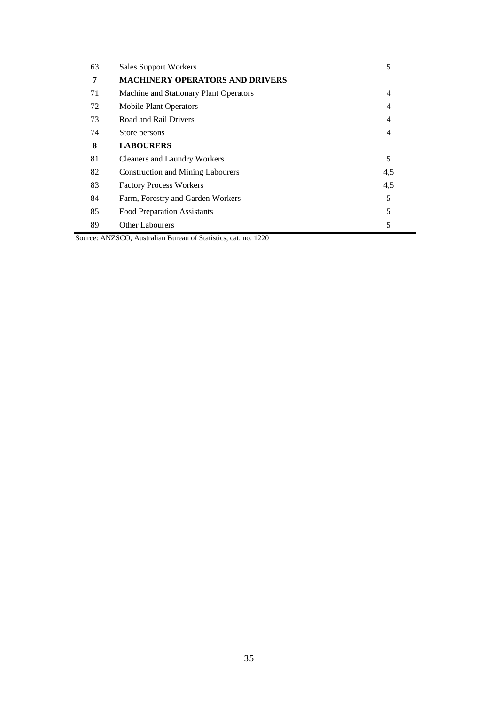| 63 | <b>Sales Support Workers</b>             | 5   |
|----|------------------------------------------|-----|
| 7  | <b>MACHINERY OPERATORS AND DRIVERS</b>   |     |
| 71 | Machine and Stationary Plant Operators   | 4   |
| 72 | <b>Mobile Plant Operators</b>            | 4   |
| 73 | Road and Rail Drivers                    | 4   |
| 74 | Store persons                            | 4   |
| 8  | <b>LABOURERS</b>                         |     |
| 81 | <b>Cleaners and Laundry Workers</b>      | 5   |
| 82 | <b>Construction and Mining Labourers</b> | 4,5 |
| 83 | <b>Factory Process Workers</b>           | 4,5 |
| 84 | Farm, Forestry and Garden Workers        | 5   |
| 85 | <b>Food Preparation Assistants</b>       | 5   |
| 89 | <b>Other Labourers</b>                   | 5   |

Source: ANZSCO, Australian Bureau of Statistics, cat. no. 1220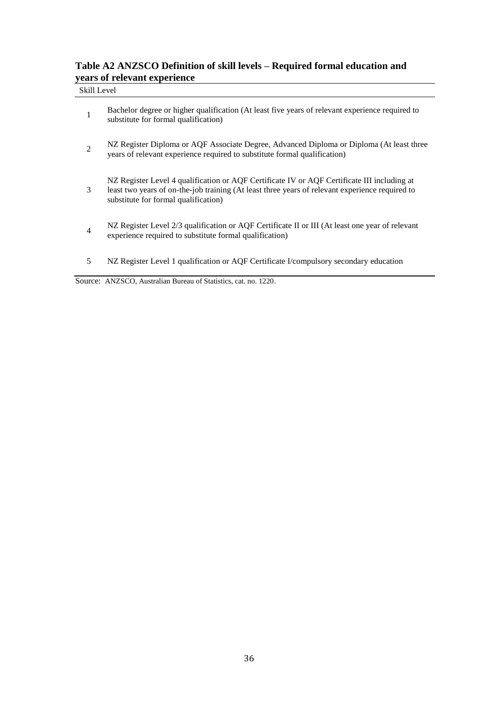### **Table A2 ANZSCO Definition of skill levels – Required formal education and years of relevant experience**

### Skill Level

| $\mathbf{1}$   | Bachelor degree or higher qualification (At least five years of relevant experience required to<br>substitute for formal qualification)                                                                                                |
|----------------|----------------------------------------------------------------------------------------------------------------------------------------------------------------------------------------------------------------------------------------|
| 2              | NZ Register Diploma or AQF Associate Degree, Advanced Diploma or Diploma (At least three<br>years of relevant experience required to substitute formal qualification)                                                                  |
| 3              | NZ Register Level 4 qualification or AQF Certificate IV or AQF Certificate III including at<br>least two years of on-the-job training (At least three years of relevant experience required to<br>substitute for formal qualification) |
| $\overline{4}$ | NZ Register Level 2/3 qualification or AQF Certificate II or III (At least one year of relevant<br>experience required to substitute formal qualification)                                                                             |
| 5              | NZ Register Level 1 qualification or AQF Certificate I/compulsory secondary education                                                                                                                                                  |

Source: ANZSCO, Australian Bureau of Statistics, cat. no. 1220.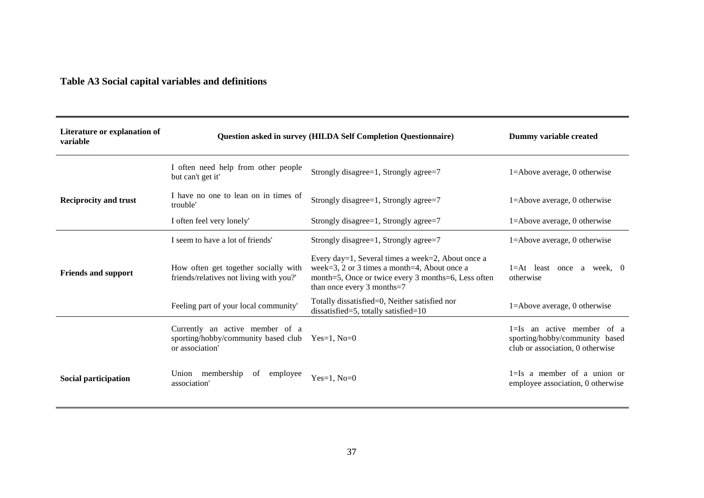## **Table A3 Social capital variables and definitions**

| Literature or explanation of<br>variable | <b>Question asked in survey (HILDA Self Completion Questionnaire)</b>                     | Dummy variable created                                                                                                                                                                 |                                                                                                      |
|------------------------------------------|-------------------------------------------------------------------------------------------|----------------------------------------------------------------------------------------------------------------------------------------------------------------------------------------|------------------------------------------------------------------------------------------------------|
|                                          | I often need help from other people<br>but can't get it'                                  | Strongly disagree=1, Strongly agree=7                                                                                                                                                  | 1=Above average, 0 otherwise                                                                         |
| <b>Reciprocity and trust</b>             | I have no one to lean on in times of<br>trouble'                                          | Strongly disagree=1, Strongly agree=7                                                                                                                                                  | $1 =$ Above average, 0 otherwise                                                                     |
|                                          | I often feel very lonely'                                                                 | Strongly disagree=1, Strongly agree=7                                                                                                                                                  | $1 =$ Above average, 0 otherwise                                                                     |
|                                          | I seem to have a lot of friends'                                                          | Strongly disagree=1, Strongly agree=7                                                                                                                                                  | 1=Above average, 0 otherwise                                                                         |
| <b>Friends and support</b>               | How often get together socially with<br>friends/relatives not living with you?'           | Every day=1, Several times a week=2, About once a<br>week=3, 2 or 3 times a month=4, About once a<br>month=5, Once or twice every 3 months=6, Less often<br>than once every 3 months=7 | $1=At$ least once a week, 0<br>otherwise                                                             |
|                                          | Feeling part of your local community'                                                     | Totally dissatisfied=0, Neither satisfied nor<br>dissatisfied=5, totally satisfied= $10$                                                                                               | 1=Above average, 0 otherwise                                                                         |
|                                          | Currently an active member of a<br>sporting/hobby/community based club<br>or association' | $Yes=1, No=0$                                                                                                                                                                          | $1 = Is$ an active member of a<br>sporting/hobby/community based<br>club or association, 0 otherwise |
| Social participation                     | Union membership<br>of employee<br>association'                                           | Yes=1, $No=0$                                                                                                                                                                          | $1=Is$ a member of a union or<br>employee association, 0 otherwise                                   |

۰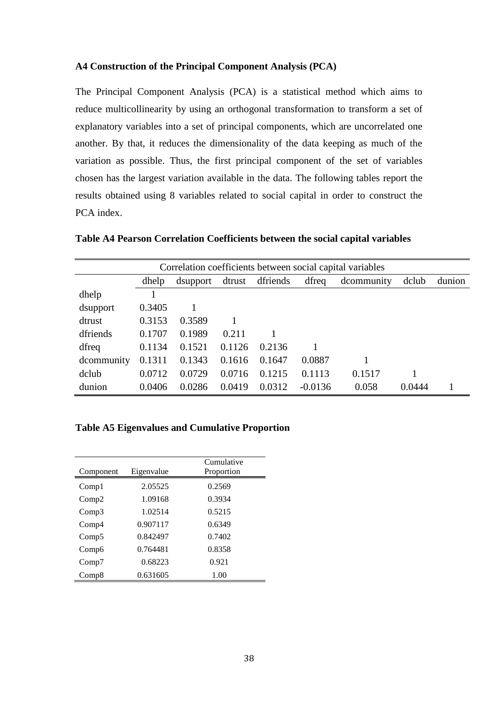#### **A4 Construction of the Principal Component Analysis (PCA)**

The Principal Component Analysis (PCA) is a statistical method which aims to reduce multicollinearity by using an orthogonal transformation to transform a set of explanatory variables into a set of principal components, which are uncorrelated one another. By that, it reduces the dimensionality of the data keeping as much of the variation as possible. Thus, the first principal component of the set of variables chosen has the largest variation available in the data. The following tables report the results obtained using 8 variables related to social capital in order to construct the PCA index.

**Table A4 Pearson Correlation Coefficients between the social capital variables** 

| Correlation coefficients between social capital variables |        |                                                                |        |        |           |        |        |  |
|-----------------------------------------------------------|--------|----------------------------------------------------------------|--------|--------|-----------|--------|--------|--|
|                                                           | dhelp  | dfriends<br>dfreq<br>dclub<br>dtrust<br>dcommunity<br>dsupport |        |        |           |        |        |  |
| dhelp                                                     |        |                                                                |        |        |           |        |        |  |
| dsupport                                                  | 0.3405 |                                                                |        |        |           |        |        |  |
| dtrust                                                    | 0.3153 | 0.3589                                                         |        |        |           |        |        |  |
| dfriends                                                  | 0.1707 | 0.1989                                                         | 0.211  |        |           |        |        |  |
| dfreq                                                     | 0.1134 | 0.1521                                                         | 0.1126 | 0.2136 |           |        |        |  |
| dcommunity                                                | 0.1311 | 0.1343                                                         | 0.1616 | 0.1647 | 0.0887    |        |        |  |
| dclub                                                     | 0.0712 | 0.0729                                                         | 0.0716 | 0.1215 | 0.1113    | 0.1517 |        |  |
| dunion                                                    | 0.0406 | 0.0286                                                         | 0.0419 | 0.0312 | $-0.0136$ | 0.058  | 0.0444 |  |

### **Table A5 Eigenvalues and Cumulative Proportion**

| Component         | Eigenvalue | Cumulative<br>Proportion |
|-------------------|------------|--------------------------|
| Comp1             | 2.05525    | 0.2569                   |
| Comp2             | 1.09168    | 0.3934                   |
| Comp3             | 1.02514    | 0.5215                   |
| Comp <sub>4</sub> | 0.907117   | 0.6349                   |
| Comp5             | 0.842497   | 0.7402                   |
| Comp6             | 0.764481   | 0.8358                   |
| Comp7             | 0.68223    | 0.921                    |
| Comp8             | 0.631605   | 1.00                     |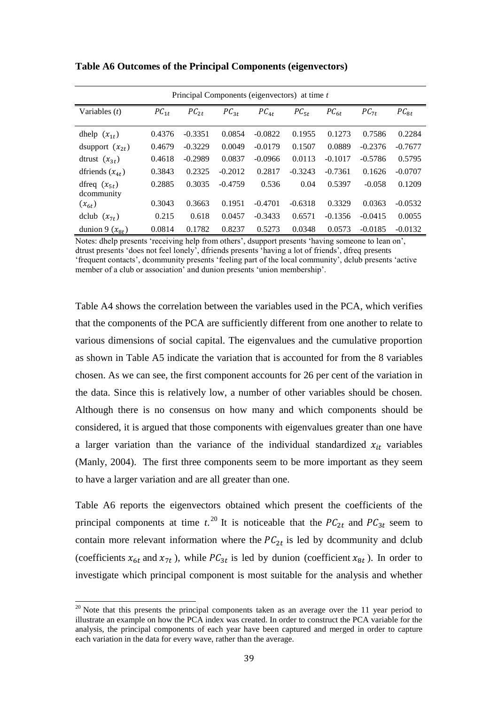| Principal Components (eigenvectors) at time t |           |           |           |           |           |           |           |           |
|-----------------------------------------------|-----------|-----------|-----------|-----------|-----------|-----------|-----------|-----------|
| Variables $(t)$                               | $PC_{1t}$ | $PC_{2t}$ | $PC_{3t}$ | $PC_{4t}$ | $PC_{5t}$ | $PC_{6t}$ | $PC_{7t}$ | $PC_{8t}$ |
| dhelp $(x_{1t})$                              | 0.4376    | $-0.3351$ | 0.0854    | $-0.0822$ | 0.1955    | 0.1273    | 0.7586    | 0.2284    |
| dsupport $(x_{2t})$                           | 0.4679    | $-0.3229$ | 0.0049    | $-0.0179$ | 0.1507    | 0.0889    | $-0.2376$ | $-0.7677$ |
| dtrust $(x_{3t})$                             | 0.4618    | $-0.2989$ | 0.0837    | $-0.0966$ | 0.0113    | $-0.1017$ | $-0.5786$ | 0.5795    |
| dfriends $(x_{4t})$                           | 0.3843    | 0.2325    | $-0.2012$ | 0.2817    | $-0.3243$ | $-0.7361$ | 0.1626    | $-0.0707$ |
| dfreq $(x_{5t})$<br>dcommunity                | 0.2885    | 0.3035    | $-0.4759$ | 0.536     | 0.04      | 0.5397    | $-0.058$  | 0.1209    |
| $(x_{6t})$                                    | 0.3043    | 0.3663    | 0.1951    | $-0.4701$ | $-0.6318$ | 0.3329    | 0.0363    | $-0.0532$ |
| dclub $(x_{7t})$                              | 0.215     | 0.618     | 0.0457    | $-0.3433$ | 0.6571    | $-0.1356$ | $-0.0415$ | 0.0055    |
| dunion 9 $(x_{8t})$                           | 0.0814    | 0.1782    | 0.8237    | 0.5273    | 0.0348    | 0.0573    | $-0.0185$ | $-0.0132$ |

**Table A6 Outcomes of the Principal Components (eigenvectors)**

Notes: dhelp presents 'receiving help from others', dsupport presents 'having someone to lean on', dtrust presents 'does not feel lonely', dfriends presents 'having a lot of friends', dfreq presents 'frequent contacts', dcommunity presents 'feeling part of the local community', dclub presents 'active member of a club or association' and dunion presents 'union membership'.

Table A4 shows the correlation between the variables used in the PCA, which verifies that the components of the PCA are sufficiently different from one another to relate to various dimensions of social capital. The eigenvalues and the cumulative proportion as shown in Table A5 indicate the variation that is accounted for from the 8 variables chosen. As we can see, the first component accounts for 26 per cent of the variation in the data. Since this is relatively low, a number of other variables should be chosen. Although there is no consensus on how many and which components should be considered, it is argued that those components with eigenvalues greater than one have a larger variation than the variance of the individual standardized  $x_{it}$  variables (Manly, 2004). The first three components seem to be more important as they seem to have a larger variation and are all greater than one.

Table A6 reports the eigenvectors obtained which present the coefficients of the principal components at time  $t^{20}$ . It is noticeable that the  $PC_{2t}$  and  $PC_{3t}$  seem to contain more relevant information where the  $PC_{2t}$  is led by dcommunity and dclub (coefficients  $x_{6t}$  and  $x_{7t}$ ), while  $PC_{3t}$  is led by dunion (coefficient  $x_{8t}$ ). In order to investigate which principal component is most suitable for the analysis and whether

 $\overline{a}$ 

 $20$  Note that this presents the principal components taken as an average over the 11 year period to illustrate an example on how the PCA index was created. In order to construct the PCA variable for the analysis, the principal components of each year have been captured and merged in order to capture each variation in the data for every wave, rather than the average.